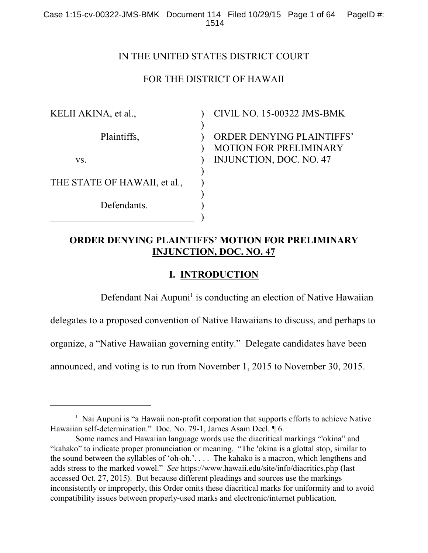# IN THE UNITED STATES DISTRICT COURT

# FOR THE DISTRICT OF HAWAII

 $\lambda$  $\mathcal{L}$ 

 $\mathcal{L}$  $\mathcal{L}$ ) ) ) ) )

KELII AKINA, et al.,

Plaintiffs,

vs.

THE STATE OF HAWAII, et al.,

Defendants.  $\mathcal{L}_\text{max}$  , which is a set of the set of the set of the set of the set of the set of the set of the set of the set of the set of the set of the set of the set of the set of the set of the set of the set of the set of CIVIL NO. 15-00322 JMS-BMK

) ORDER DENYING PLAINTIFFS' MOTION FOR PRELIMINARY INJUNCTION, DOC. NO. 47

# **ORDER DENYING PLAINTIFFS' MOTION FOR PRELIMINARY INJUNCTION, DOC. NO. 47**

# **I. INTRODUCTION**

Defendant Nai Aupuni<sup>1</sup> is conducting an election of Native Hawaiian

delegates to a proposed convention of Native Hawaiians to discuss, and perhaps to

organize, a "Native Hawaiian governing entity." Delegate candidates have been

announced, and voting is to run from November 1, 2015 to November 30, 2015.

 $\frac{1}{1}$  Nai Aupuni is "a Hawaii non-profit corporation that supports efforts to achieve Native Hawaiian self-determination." Doc. No. 79-1, James Asam Decl. ¶ 6.

Some names and Hawaiian language words use the diacritical markings "okina" and "kahako" to indicate proper pronunciation or meaning. "The 'okina is a glottal stop, similar to the sound between the syllables of 'oh-oh.'. . . . The kahako is a macron, which lengthens and adds stress to the marked vowel." *See* https://www.hawaii.edu/site/info/diacritics.php (last accessed Oct. 27, 2015). But because different pleadings and sources use the markings inconsistently or improperly, this Order omits these diacritical marks for uniformity and to avoid compatibility issues between properly-used marks and electronic/internet publication.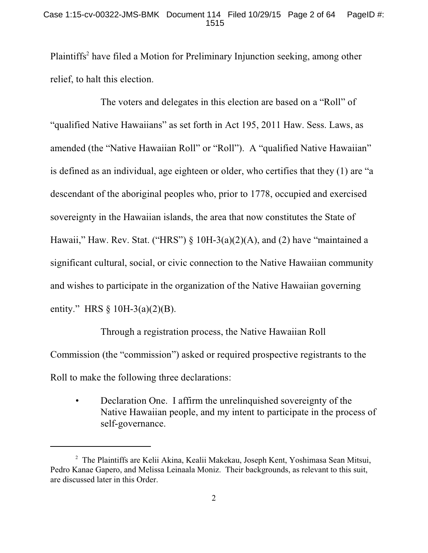### Case 1:15-cv-00322-JMS-BMK Document 114 Filed 10/29/15 Page 2 of 64 PageID #: 1515

Plaintiffs<sup>2</sup> have filed a Motion for Preliminary Injunction seeking, among other relief, to halt this election.

The voters and delegates in this election are based on a "Roll" of "qualified Native Hawaiians" as set forth in Act 195, 2011 Haw. Sess. Laws, as amended (the "Native Hawaiian Roll" or "Roll"). A "qualified Native Hawaiian" is defined as an individual, age eighteen or older, who certifies that they (1) are "a descendant of the aboriginal peoples who, prior to 1778, occupied and exercised sovereignty in the Hawaiian islands, the area that now constitutes the State of Hawaii," Haw. Rev. Stat. ("HRS")  $\S$  10H-3(a)(2)(A), and (2) have "maintained a significant cultural, social, or civic connection to the Native Hawaiian community and wishes to participate in the organization of the Native Hawaiian governing entity." HRS § 10H-3(a)(2)(B).

Through a registration process, the Native Hawaiian Roll Commission (the "commission") asked or required prospective registrants to the Roll to make the following three declarations:

• Declaration One. I affirm the unrelinquished sovereignty of the Native Hawaiian people, and my intent to participate in the process of self-governance.

<sup>&</sup>lt;sup>2</sup> The Plaintiffs are Kelii Akina, Kealii Makekau, Joseph Kent, Yoshimasa Sean Mitsui, Pedro Kanae Gapero, and Melissa Leinaala Moniz. Their backgrounds, as relevant to this suit, are discussed later in this Order.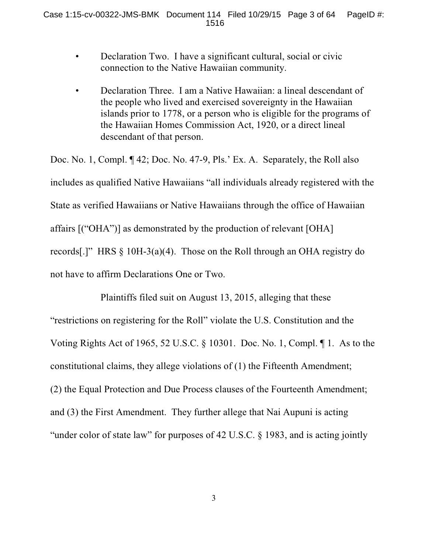- Declaration Two. I have a significant cultural, social or civic connection to the Native Hawaiian community.
- Declaration Three. I am a Native Hawaiian: a lineal descendant of the people who lived and exercised sovereignty in the Hawaiian islands prior to 1778, or a person who is eligible for the programs of the Hawaiian Homes Commission Act, 1920, or a direct lineal descendant of that person.

Doc. No. 1, Compl. ¶ 42; Doc. No. 47-9, Pls.' Ex. A. Separately, the Roll also includes as qualified Native Hawaiians "all individuals already registered with the State as verified Hawaiians or Native Hawaiians through the office of Hawaiian affairs [("OHA")] as demonstrated by the production of relevant [OHA] records[.]" HRS § 10H-3(a)(4). Those on the Roll through an OHA registry do not have to affirm Declarations One or Two.

Plaintiffs filed suit on August 13, 2015, alleging that these "restrictions on registering for the Roll" violate the U.S. Constitution and the Voting Rights Act of 1965, 52 U.S.C. § 10301. Doc. No. 1, Compl. ¶ 1. As to the constitutional claims, they allege violations of (1) the Fifteenth Amendment; (2) the Equal Protection and Due Process clauses of the Fourteenth Amendment; and (3) the First Amendment. They further allege that Nai Aupuni is acting "under color of state law" for purposes of 42 U.S.C. § 1983, and is acting jointly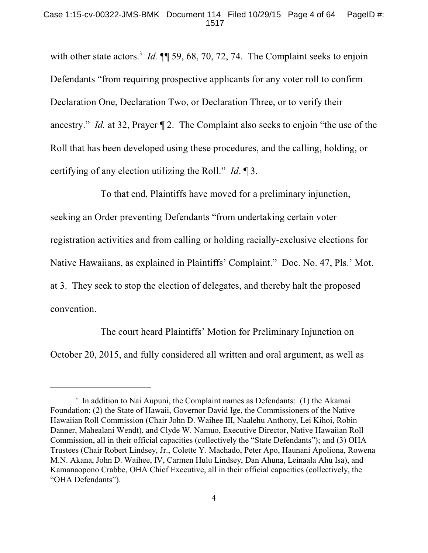with other state actors.<sup>3</sup> *Id.*  $\P$  59, 68, 70, 72, 74. The Complaint seeks to enjoin Defendants "from requiring prospective applicants for any voter roll to confirm Declaration One, Declaration Two, or Declaration Three, or to verify their ancestry." *Id.* at 32, Prayer ¶ 2. The Complaint also seeks to enjoin "the use of the Roll that has been developed using these procedures, and the calling, holding, or certifying of any election utilizing the Roll." *Id*. ¶ 3.

To that end, Plaintiffs have moved for a preliminary injunction, seeking an Order preventing Defendants "from undertaking certain voter registration activities and from calling or holding racially-exclusive elections for Native Hawaiians, as explained in Plaintiffs' Complaint." Doc. No. 47, Pls.' Mot. at 3. They seek to stop the election of delegates, and thereby halt the proposed convention.

The court heard Plaintiffs' Motion for Preliminary Injunction on October 20, 2015, and fully considered all written and oral argument, as well as

<sup>&</sup>lt;sup>3</sup> In addition to Nai Aupuni, the Complaint names as Defendants: (1) the Akamai Foundation; (2) the State of Hawaii, Governor David Ige, the Commissioners of the Native Hawaiian Roll Commission (Chair John D. Waihee III, Naalehu Anthony, Lei Kihoi, Robin Danner, Mahealani Wendt), and Clyde W. Namuo, Executive Director, Native Hawaiian Roll Commission, all in their official capacities (collectively the "State Defendants"); and (3) OHA Trustees (Chair Robert Lindsey, Jr., Colette Y. Machado, Peter Apo, Haunani Apoliona, Rowena M.N. Akana, John D. Waihee, IV, Carmen Hulu Lindsey, Dan Ahuna, Leinaala Ahu Isa), and Kamanaopono Crabbe, OHA Chief Executive, all in their official capacities (collectively, the "OHA Defendants").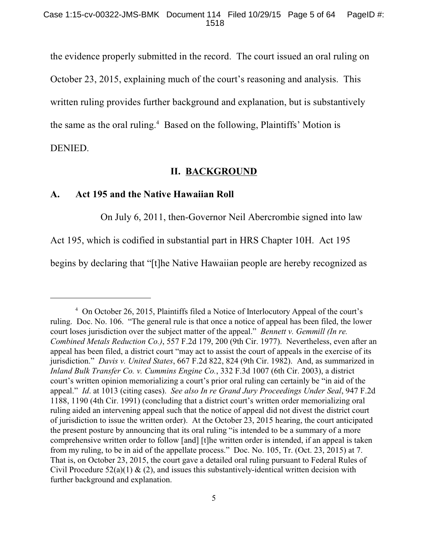the evidence properly submitted in the record. The court issued an oral ruling on October 23, 2015, explaining much of the court's reasoning and analysis. This written ruling provides further background and explanation, but is substantively the same as the oral ruling. $4$  Based on the following, Plaintiffs' Motion is DENIED.

## **II. BACKGROUND**

### **A. Act 195 and the Native Hawaiian Roll**

On July 6, 2011, then-Governor Neil Abercrombie signed into law

Act 195, which is codified in substantial part in HRS Chapter 10H. Act 195

begins by declaring that "[t]he Native Hawaiian people are hereby recognized as

<sup>&</sup>lt;sup>4</sup> On October 26, 2015, Plaintiffs filed a Notice of Interlocutory Appeal of the court's ruling. Doc. No. 106. "The general rule is that once a notice of appeal has been filed, the lower court loses jurisdiction over the subject matter of the appeal." *Bennett v. Gemmill (In re. Combined Metals Reduction Co.)*, 557 F.2d 179, 200 (9th Cir. 1977). Nevertheless, even after an appeal has been filed, a district court "may act to assist the court of appeals in the exercise of its jurisdiction." *Davis v. United States*, 667 F.2d 822, 824 (9th Cir. 1982). And, as summarized in *Inland Bulk Transfer Co. v. Cummins Engine Co.*, 332 F.3d 1007 (6th Cir. 2003), a district court's written opinion memorializing a court's prior oral ruling can certainly be "in aid of the appeal." *Id*. at 1013 (citing cases). *See also In re Grand Jury Proceedings Under Seal*, 947 F.2d 1188, 1190 (4th Cir. 1991) (concluding that a district court's written order memorializing oral ruling aided an intervening appeal such that the notice of appeal did not divest the district court of jurisdiction to issue the written order). At the October 23, 2015 hearing, the court anticipated the present posture by announcing that its oral ruling "is intended to be a summary of a more comprehensive written order to follow [and] [t]he written order is intended, if an appeal is taken from my ruling, to be in aid of the appellate process." Doc. No. 105, Tr. (Oct. 23, 2015) at 7. That is, on October 23, 2015, the court gave a detailed oral ruling pursuant to Federal Rules of Civil Procedure  $52(a)(1) & (2)$ , and issues this substantively-identical written decision with further background and explanation.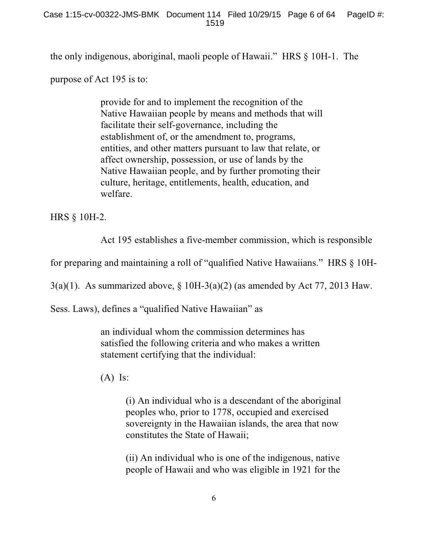the only indigenous, aboriginal, maoli people of Hawaii." HRS § 10H-1. The

purpose of Act 195 is to:

provide for and to implement the recognition of the Native Hawaiian people by means and methods that will facilitate their self-governance, including the establishment of, or the amendment to, programs, entities, and other matters pursuant to law that relate, or affect ownership, possession, or use of lands by the Native Hawaiian people, and by further promoting their culture, heritage, entitlements, health, education, and welfare.

HRS § 10H-2.

Act 195 establishes a five-member commission, which is responsible

for preparing and maintaining a roll of "qualified Native Hawaiians." HRS § 10H-

3(a)(1). As summarized above,  $\S$  10H-3(a)(2) (as amended by Act 77, 2013 Haw.

Sess. Laws), defines a "qualified Native Hawaiian" as

an individual whom the commission determines has satisfied the following criteria and who makes a written statement certifying that the individual:

 $(A)$  Is:

(i) An individual who is a descendant of the aboriginal peoples who, prior to 1778, occupied and exercised sovereignty in the Hawaiian islands, the area that now constitutes the State of Hawaii;

(ii) An individual who is one of the indigenous, native people of Hawaii and who was eligible in 1921 for the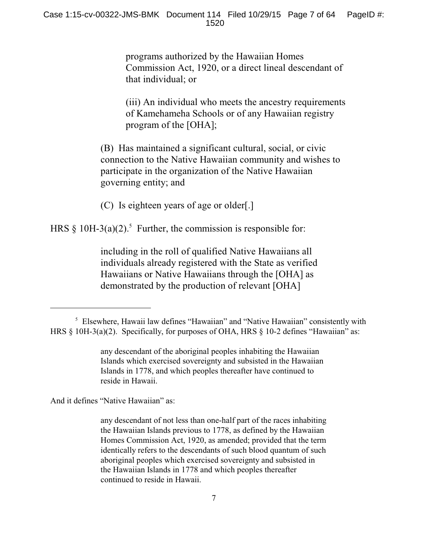programs authorized by the Hawaiian Homes Commission Act, 1920, or a direct lineal descendant of that individual; or

(iii) An individual who meets the ancestry requirements of Kamehameha Schools or of any Hawaiian registry program of the [OHA];

(B) Has maintained a significant cultural, social, or civic connection to the Native Hawaiian community and wishes to participate in the organization of the Native Hawaiian governing entity; and

(C) Is eighteen years of age or older[.]

HRS  $\S$  10H-3(a)(2).<sup>5</sup> Further, the commission is responsible for:

including in the roll of qualified Native Hawaiians all individuals already registered with the State as verified Hawaiians or Native Hawaiians through the [OHA] as demonstrated by the production of relevant [OHA]

And it defines "Native Hawaiian" as:

<sup>&</sup>lt;sup>5</sup> Elsewhere, Hawaii law defines "Hawaiian" and "Native Hawaiian" consistently with HRS § 10H-3(a)(2). Specifically, for purposes of OHA, HRS § 10-2 defines "Hawaiian" as:

any descendant of the aboriginal peoples inhabiting the Hawaiian Islands which exercised sovereignty and subsisted in the Hawaiian Islands in 1778, and which peoples thereafter have continued to reside in Hawaii.

any descendant of not less than one-half part of the races inhabiting the Hawaiian Islands previous to 1778, as defined by the Hawaiian Homes Commission Act, 1920, as amended; provided that the term identically refers to the descendants of such blood quantum of such aboriginal peoples which exercised sovereignty and subsisted in the Hawaiian Islands in 1778 and which peoples thereafter continued to reside in Hawaii.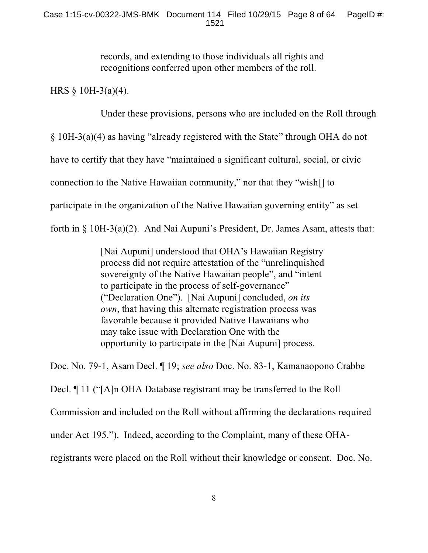records, and extending to those individuals all rights and recognitions conferred upon other members of the roll.

HRS  $§$  10H-3(a)(4).

Under these provisions, persons who are included on the Roll through

§ 10H-3(a)(4) as having "already registered with the State" through OHA do not

have to certify that they have "maintained a significant cultural, social, or civic

connection to the Native Hawaiian community," nor that they "wish[] to

participate in the organization of the Native Hawaiian governing entity" as set

forth in § 10H-3(a)(2). And Nai Aupuni's President, Dr. James Asam, attests that:

[Nai Aupuni] understood that OHA's Hawaiian Registry process did not require attestation of the "unrelinquished sovereignty of the Native Hawaiian people", and "intent to participate in the process of self-governance" ("Declaration One"). [Nai Aupuni] concluded, *on its own*, that having this alternate registration process was favorable because it provided Native Hawaiians who may take issue with Declaration One with the opportunity to participate in the [Nai Aupuni] process.

Doc. No. 79-1, Asam Decl. ¶ 19; *see also* Doc. No. 83-1, Kamanaopono Crabbe

Decl. ¶ 11 ("[A]n OHA Database registrant may be transferred to the Roll

Commission and included on the Roll without affirming the declarations required

under Act 195."). Indeed, according to the Complaint, many of these OHA-

registrants were placed on the Roll without their knowledge or consent. Doc. No.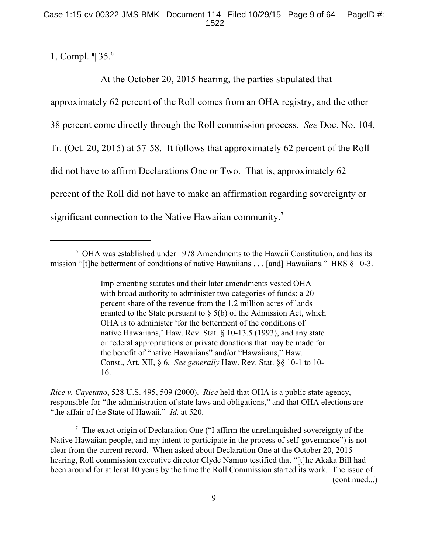1, Compl. ¶ 35. 6

At the October 20, 2015 hearing, the parties stipulated that approximately 62 percent of the Roll comes from an OHA registry, and the other 38 percent come directly through the Roll commission process. *See* Doc. No. 104, Tr. (Oct. 20, 2015) at 57-58. It follows that approximately 62 percent of the Roll did not have to affirm Declarations One or Two. That is, approximately 62 percent of the Roll did not have to make an affirmation regarding sovereignty or significant connection to the Native Hawaiian community.<sup>7</sup>

Implementing statutes and their later amendments vested OHA with broad authority to administer two categories of funds: a 20 percent share of the revenue from the 1.2 million acres of lands granted to the State pursuant to  $\S$  5(b) of the Admission Act, which OHA is to administer 'for the betterment of the conditions of native Hawaiians,' Haw. Rev. Stat. § 10-13.5 (1993), and any state or federal appropriations or private donations that may be made for the benefit of "native Hawaiians" and/or "Hawaiians," Haw. Const., Art. XII, § 6*. See generally* Haw. Rev. Stat. §§ 10-1 to 10- 16.

*Rice v. Cayetano*, 528 U.S. 495, 509 (2000). *Rice* held that OHA is a public state agency, responsible for "the administration of state laws and obligations," and that OHA elections are "the affair of the State of Hawaii." *Id.* at 520.

 $\frac{7}{7}$  The exact origin of Declaration One ("I affirm the unrelinquished sovereignty of the Native Hawaiian people, and my intent to participate in the process of self-governance") is not clear from the current record. When asked about Declaration One at the October 20, 2015 hearing, Roll commission executive director Clyde Namuo testified that "[t]he Akaka Bill had been around for at least 10 years by the time the Roll Commission started its work. The issue of (continued...)

OHA was established under 1978 Amendments to the Hawaii Constitution, and has its <sup>6</sup> mission "[t]he betterment of conditions of native Hawaiians . . . [and] Hawaiians." HRS § 10-3.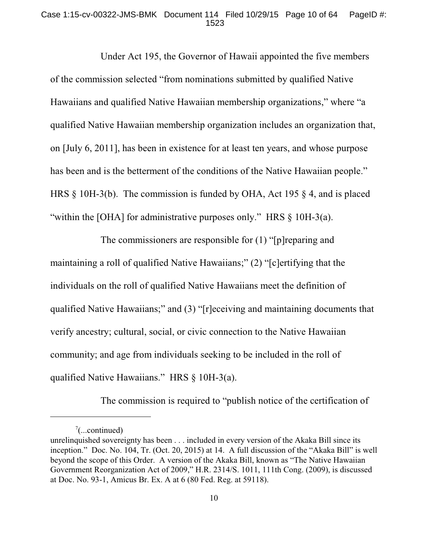### Case 1:15-cv-00322-JMS-BMK Document 114 Filed 10/29/15 Page 10 of 64 PageID #: 1523

Under Act 195, the Governor of Hawaii appointed the five members of the commission selected "from nominations submitted by qualified Native Hawaiians and qualified Native Hawaiian membership organizations," where "a qualified Native Hawaiian membership organization includes an organization that, on [July 6, 2011], has been in existence for at least ten years, and whose purpose has been and is the betterment of the conditions of the Native Hawaiian people." HRS § 10H-3(b). The commission is funded by OHA, Act 195 § 4, and is placed "within the [OHA] for administrative purposes only." HRS § 10H-3(a).

The commissioners are responsible for (1) "[p]reparing and maintaining a roll of qualified Native Hawaiians;" (2) "[c]ertifying that the individuals on the roll of qualified Native Hawaiians meet the definition of qualified Native Hawaiians;" and (3) "[r]eceiving and maintaining documents that verify ancestry; cultural, social, or civic connection to the Native Hawaiian community; and age from individuals seeking to be included in the roll of qualified Native Hawaiians." HRS § 10H-3(a).

The commission is required to "publish notice of the certification of

 $\frac{7}{2}$ ...continued)

unrelinquished sovereignty has been . . . included in every version of the Akaka Bill since its inception." Doc. No. 104, Tr. (Oct. 20, 2015) at 14. A full discussion of the "Akaka Bill" is well beyond the scope of this Order. A version of the Akaka Bill, known as "The Native Hawaiian Government Reorganization Act of 2009," H.R. 2314/S. 1011, 111th Cong. (2009), is discussed at Doc. No. 93-1, Amicus Br. Ex. A at 6 (80 Fed. Reg. at 59118).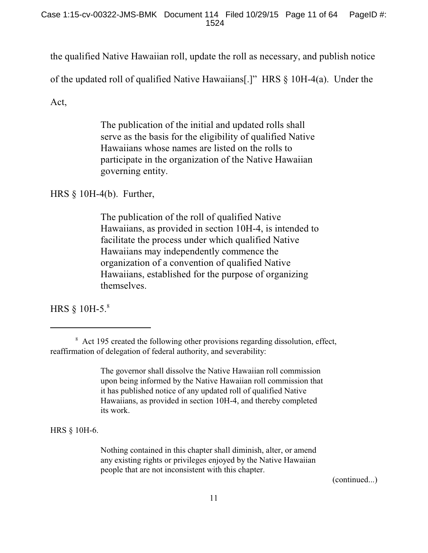the qualified Native Hawaiian roll, update the roll as necessary, and publish notice

of the updated roll of qualified Native Hawaiians[.]" HRS § 10H-4(a). Under the

Act,

The publication of the initial and updated rolls shall serve as the basis for the eligibility of qualified Native Hawaiians whose names are listed on the rolls to participate in the organization of the Native Hawaiian governing entity.

HRS § 10H-4(b). Further,

The publication of the roll of qualified Native Hawaiians, as provided in section 10H-4, is intended to facilitate the process under which qualified Native Hawaiians may independently commence the organization of a convention of qualified Native Hawaiians, established for the purpose of organizing themselves.

HRS § 10H-5. 8

The governor shall dissolve the Native Hawaiian roll commission upon being informed by the Native Hawaiian roll commission that it has published notice of any updated roll of qualified Native Hawaiians, as provided in section 10H-4, and thereby completed its work.

HRS § 10H-6.

Nothing contained in this chapter shall diminish, alter, or amend any existing rights or privileges enjoyed by the Native Hawaiian people that are not inconsistent with this chapter.

(continued...)

<sup>&</sup>lt;sup>8</sup> Act 195 created the following other provisions regarding dissolution, effect, reaffirmation of delegation of federal authority, and severability: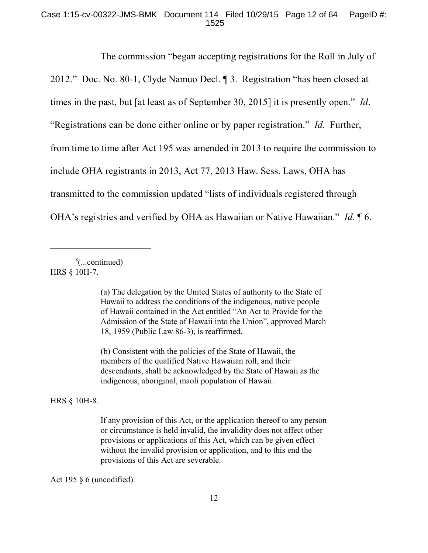### Case 1:15-cv-00322-JMS-BMK Document 114 Filed 10/29/15 Page 12 of 64 PageID #: 1525

The commission "began accepting registrations for the Roll in July of 2012." Doc. No. 80-1, Clyde Namuo Decl. ¶ 3. Registration "has been closed at times in the past, but [at least as of September 30, 2015] it is presently open." *Id*. "Registrations can be done either online or by paper registration." *Id.* Further, from time to time after Act 195 was amended in 2013 to require the commission to include OHA registrants in 2013, Act 77, 2013 Haw. Sess. Laws, OHA has transmitted to the commission updated "lists of individuals registered through OHA's registries and verified by OHA as Hawaiian or Native Hawaiian." *Id.* ¶ 6.

 $\frac{8}{2}$ ...continued) HRS § 10H-7.

> (a) The delegation by the United States of authority to the State of Hawaii to address the conditions of the indigenous, native people of Hawaii contained in the Act entitled "An Act to Provide for the Admission of the State of Hawaii into the Union", approved March 18, 1959 (Public Law 86-3), is reaffirmed.

(b) Consistent with the policies of the State of Hawaii, the members of the qualified Native Hawaiian roll, and their descendants, shall be acknowledged by the State of Hawaii as the indigenous, aboriginal, maoli population of Hawaii.

HRS § 10H-8.

If any provision of this Act, or the application thereof to any person or circumstance is held invalid, the invalidity does not affect other provisions or applications of this Act, which can be given effect without the invalid provision or application, and to this end the provisions of this Act are severable.

Act 195 § 6 (uncodified).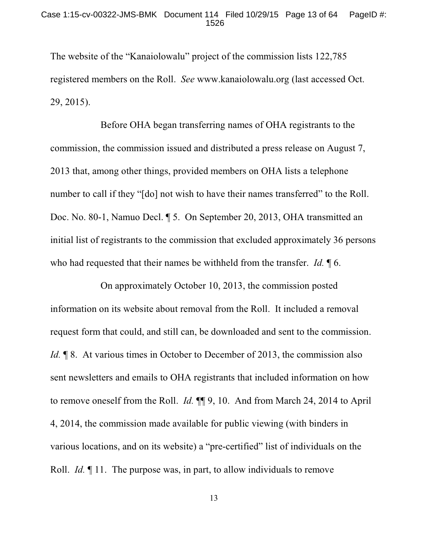The website of the "Kanaiolowalu" project of the commission lists 122,785 registered members on the Roll. *See* www.kanaiolowalu.org (last accessed Oct. 29, 2015).

Before OHA began transferring names of OHA registrants to the commission, the commission issued and distributed a press release on August 7, 2013 that, among other things, provided members on OHA lists a telephone number to call if they "[do] not wish to have their names transferred" to the Roll. Doc. No. 80-1, Namuo Decl. ¶ 5. On September 20, 2013, OHA transmitted an initial list of registrants to the commission that excluded approximately 36 persons who had requested that their names be withheld from the transfer. *Id.* ¶ 6.

On approximately October 10, 2013, the commission posted information on its website about removal from the Roll. It included a removal request form that could, and still can, be downloaded and sent to the commission. *Id.*  $\parallel$  8. At various times in October to December of 2013, the commission also sent newsletters and emails to OHA registrants that included information on how to remove oneself from the Roll. *Id.* ¶¶ 9, 10. And from March 24, 2014 to April 4, 2014, the commission made available for public viewing (with binders in various locations, and on its website) a "pre-certified" list of individuals on the Roll. *Id.* ¶ 11. The purpose was, in part, to allow individuals to remove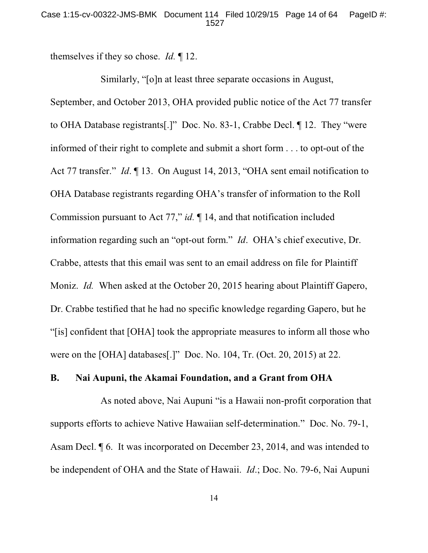themselves if they so chose. *Id.* ¶ 12.

Similarly, "[o]n at least three separate occasions in August, September, and October 2013, OHA provided public notice of the Act 77 transfer to OHA Database registrants[.]" Doc. No. 83-1, Crabbe Decl. ¶ 12. They "were informed of their right to complete and submit a short form . . . to opt-out of the Act 77 transfer." *Id*. ¶ 13. On August 14, 2013, "OHA sent email notification to OHA Database registrants regarding OHA's transfer of information to the Roll Commission pursuant to Act 77," *id.* ¶ 14, and that notification included information regarding such an "opt-out form." *Id*. OHA's chief executive, Dr. Crabbe, attests that this email was sent to an email address on file for Plaintiff Moniz. *Id.* When asked at the October 20, 2015 hearing about Plaintiff Gapero, Dr. Crabbe testified that he had no specific knowledge regarding Gapero, but he "[is] confident that [OHA] took the appropriate measures to inform all those who were on the [OHA] databases[.]" Doc. No. 104, Tr. (Oct. 20, 2015) at 22.

### **B. Nai Aupuni, the Akamai Foundation, and a Grant from OHA**

As noted above, Nai Aupuni "is a Hawaii non-profit corporation that supports efforts to achieve Native Hawaiian self-determination." Doc. No. 79-1, Asam Decl. ¶ 6. It was incorporated on December 23, 2014, and was intended to be independent of OHA and the State of Hawaii. *Id*.; Doc. No. 79-6, Nai Aupuni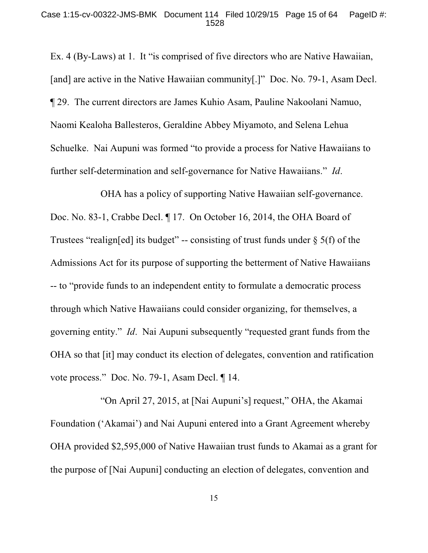Ex. 4 (By-Laws) at 1. It "is comprised of five directors who are Native Hawaiian, [and] are active in the Native Hawaiian community[.]" Doc. No. 79-1, Asam Decl. ¶ 29. The current directors are James Kuhio Asam, Pauline Nakoolani Namuo, Naomi Kealoha Ballesteros, Geraldine Abbey Miyamoto, and Selena Lehua Schuelke. Nai Aupuni was formed "to provide a process for Native Hawaiians to further self-determination and self-governance for Native Hawaiians." *Id*.

OHA has a policy of supporting Native Hawaiian self-governance. Doc. No. 83-1, Crabbe Decl. ¶ 17. On October 16, 2014, the OHA Board of Trustees "realign[ed] its budget" -- consisting of trust funds under  $\S$  5(f) of the Admissions Act for its purpose of supporting the betterment of Native Hawaiians -- to "provide funds to an independent entity to formulate a democratic process through which Native Hawaiians could consider organizing, for themselves, a governing entity." *Id*. Nai Aupuni subsequently "requested grant funds from the OHA so that [it] may conduct its election of delegates, convention and ratification vote process." Doc. No. 79-1, Asam Decl. ¶ 14.

"On April 27, 2015, at [Nai Aupuni's] request," OHA, the Akamai Foundation ('Akamai') and Nai Aupuni entered into a Grant Agreement whereby OHA provided \$2,595,000 of Native Hawaiian trust funds to Akamai as a grant for the purpose of [Nai Aupuni] conducting an election of delegates, convention and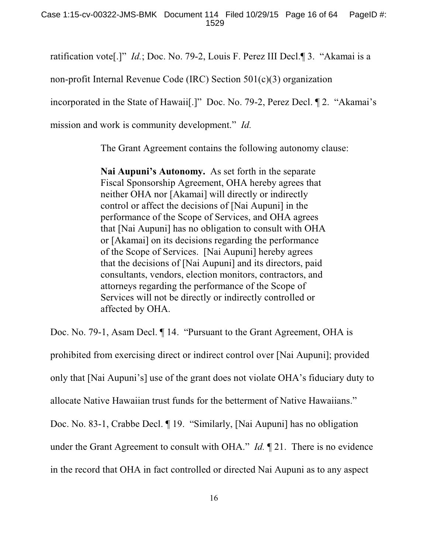ratification vote[.]" *Id.*; Doc. No. 79-2, Louis F. Perez III Decl.¶ 3. "Akamai is a

non-profit Internal Revenue Code (IRC) Section 501(c)(3) organization

incorporated in the State of Hawaii[.]" Doc. No. 79-2, Perez Decl. ¶ 2. "Akamai's

mission and work is community development." *Id.*

The Grant Agreement contains the following autonomy clause:

**Nai Aupuni's Autonomy.** As set forth in the separate Fiscal Sponsorship Agreement, OHA hereby agrees that neither OHA nor [Akamai] will directly or indirectly control or affect the decisions of [Nai Aupuni] in the performance of the Scope of Services, and OHA agrees that [Nai Aupuni] has no obligation to consult with OHA or [Akamai] on its decisions regarding the performance of the Scope of Services. [Nai Aupuni] hereby agrees that the decisions of [Nai Aupuni] and its directors, paid consultants, vendors, election monitors, contractors, and attorneys regarding the performance of the Scope of Services will not be directly or indirectly controlled or affected by OHA.

Doc. No. 79-1, Asam Decl.  $\P$  14. "Pursuant to the Grant Agreement, OHA is prohibited from exercising direct or indirect control over [Nai Aupuni]; provided only that [Nai Aupuni's] use of the grant does not violate OHA's fiduciary duty to allocate Native Hawaiian trust funds for the betterment of Native Hawaiians." Doc. No. 83-1, Crabbe Decl. ¶ 19. "Similarly, [Nai Aupuni] has no obligation under the Grant Agreement to consult with OHA." *Id.* ¶ 21. There is no evidence in the record that OHA in fact controlled or directed Nai Aupuni as to any aspect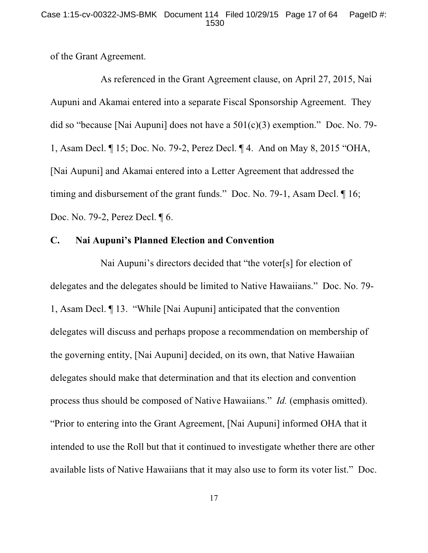of the Grant Agreement.

As referenced in the Grant Agreement clause, on April 27, 2015, Nai Aupuni and Akamai entered into a separate Fiscal Sponsorship Agreement. They did so "because [Nai Aupuni] does not have a  $501(c)(3)$  exemption." Doc. No. 79-1, Asam Decl. ¶ 15; Doc. No. 79-2, Perez Decl. ¶ 4. And on May 8, 2015 "OHA, [Nai Aupuni] and Akamai entered into a Letter Agreement that addressed the timing and disbursement of the grant funds." Doc. No. 79-1, Asam Decl. ¶ 16; Doc. No. 79-2, Perez Decl. ¶ 6.

### **C. Nai Aupuni's Planned Election and Convention**

Nai Aupuni's directors decided that "the voter[s] for election of delegates and the delegates should be limited to Native Hawaiians." Doc. No. 79- 1, Asam Decl. ¶ 13. "While [Nai Aupuni] anticipated that the convention delegates will discuss and perhaps propose a recommendation on membership of the governing entity, [Nai Aupuni] decided, on its own, that Native Hawaiian delegates should make that determination and that its election and convention process thus should be composed of Native Hawaiians." *Id.* (emphasis omitted). "Prior to entering into the Grant Agreement, [Nai Aupuni] informed OHA that it intended to use the Roll but that it continued to investigate whether there are other available lists of Native Hawaiians that it may also use to form its voter list." Doc.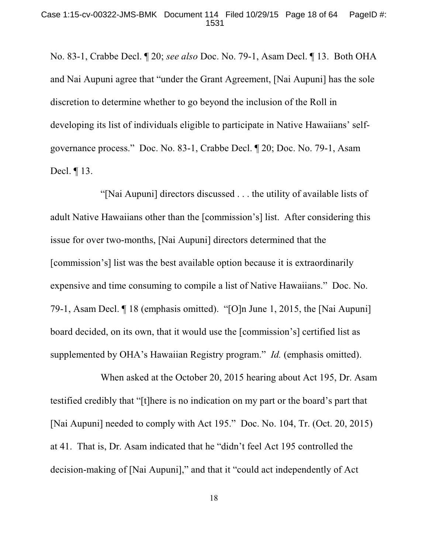No. 83-1, Crabbe Decl. ¶ 20; *see also* Doc. No. 79-1, Asam Decl. ¶ 13. Both OHA and Nai Aupuni agree that "under the Grant Agreement, [Nai Aupuni] has the sole discretion to determine whether to go beyond the inclusion of the Roll in developing its list of individuals eligible to participate in Native Hawaiians' selfgovernance process." Doc. No. 83-1, Crabbe Decl. ¶ 20; Doc. No. 79-1, Asam Decl. ¶ 13.

"[Nai Aupuni] directors discussed . . . the utility of available lists of adult Native Hawaiians other than the [commission's] list. After considering this issue for over two-months, [Nai Aupuni] directors determined that the [commission's] list was the best available option because it is extraordinarily expensive and time consuming to compile a list of Native Hawaiians." Doc. No. 79-1, Asam Decl. ¶ 18 (emphasis omitted). "[O]n June 1, 2015, the [Nai Aupuni] board decided, on its own, that it would use the [commission's] certified list as supplemented by OHA's Hawaiian Registry program." *Id.* (emphasis omitted).

When asked at the October 20, 2015 hearing about Act 195, Dr. Asam testified credibly that "[t]here is no indication on my part or the board's part that [Nai Aupuni] needed to comply with Act 195." Doc. No. 104, Tr. (Oct. 20, 2015) at 41. That is, Dr. Asam indicated that he "didn't feel Act 195 controlled the decision-making of [Nai Aupuni]," and that it "could act independently of Act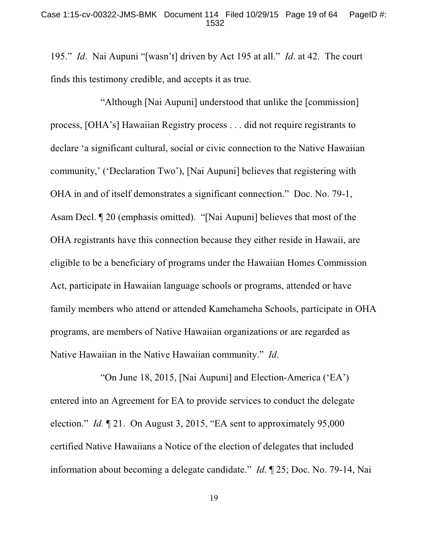195." *Id*. Nai Aupuni "[wasn't] driven by Act 195 at all." *Id*. at 42. The court finds this testimony credible, and accepts it as true.

"Although [Nai Aupuni] understood that unlike the [commission] process, [OHA's] Hawaiian Registry process . . . did not require registrants to declare 'a significant cultural, social or civic connection to the Native Hawaiian community,' ('Declaration Two'), [Nai Aupuni] believes that registering with OHA in and of itself demonstrates a significant connection." Doc. No. 79-1, Asam Decl. ¶ 20 (emphasis omitted). "[Nai Aupuni] believes that most of the OHA registrants have this connection because they either reside in Hawaii, are eligible to be a beneficiary of programs under the Hawaiian Homes Commission Act, participate in Hawaiian language schools or programs, attended or have family members who attend or attended Kamehameha Schools, participate in OHA programs, are members of Native Hawaiian organizations or are regarded as Native Hawaiian in the Native Hawaiian community." *Id*.

"On June 18, 2015, [Nai Aupuni] and Election-America ('EA') entered into an Agreement for EA to provide services to conduct the delegate election." *Id.* ¶ 21. On August 3, 2015, "EA sent to approximately 95,000 certified Native Hawaiians a Notice of the election of delegates that included information about becoming a delegate candidate." *Id*. ¶ 25; Doc. No. 79-14, Nai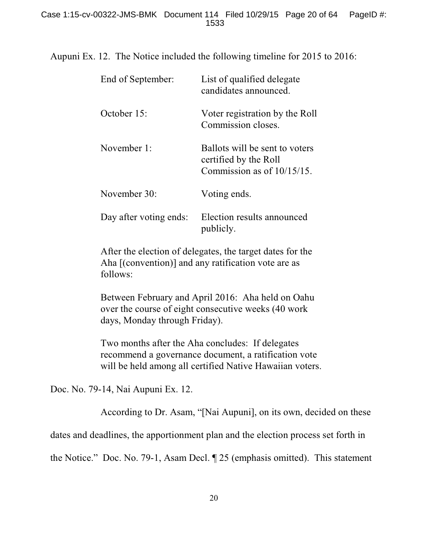Aupuni Ex. 12. The Notice included the following timeline for 2015 to 2016:

| End of September:      | List of qualified delegate<br>candidates announced.                                      |
|------------------------|------------------------------------------------------------------------------------------|
| October 15:            | Voter registration by the Roll<br>Commission closes.                                     |
| November 1:            | Ballots will be sent to voters<br>certified by the Roll<br>Commission as of $10/15/15$ . |
| November 30:           | Voting ends.                                                                             |
| Day after voting ends: | Election results announced<br>publicly.                                                  |

After the election of delegates, the target dates for the Aha [(convention)] and any ratification vote are as follows:

Between February and April 2016: Aha held on Oahu over the course of eight consecutive weeks (40 work days, Monday through Friday).

Two months after the Aha concludes: If delegates recommend a governance document, a ratification vote will be held among all certified Native Hawaiian voters.

Doc. No. 79-14, Nai Aupuni Ex. 12.

According to Dr. Asam, "[Nai Aupuni], on its own, decided on these

dates and deadlines, the apportionment plan and the election process set forth in

the Notice." Doc. No. 79-1, Asam Decl. ¶ 25 (emphasis omitted). This statement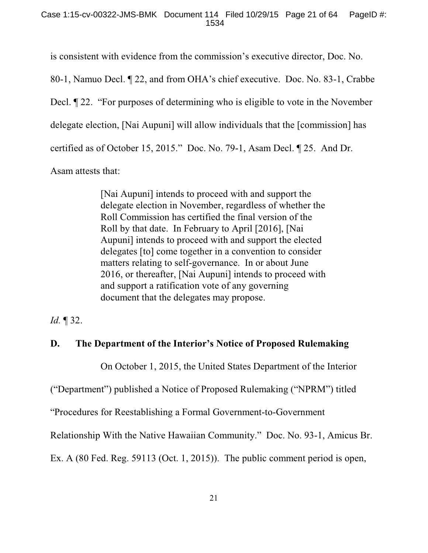is consistent with evidence from the commission's executive director, Doc. No.

80-1, Namuo Decl. ¶ 22, and from OHA's chief executive. Doc. No. 83-1, Crabbe

Decl. ¶ 22. "For purposes of determining who is eligible to vote in the November

delegate election, [Nai Aupuni] will allow individuals that the [commission] has

certified as of October 15, 2015." Doc. No. 79-1, Asam Decl. ¶ 25. And Dr.

Asam attests that:

[Nai Aupuni] intends to proceed with and support the delegate election in November, regardless of whether the Roll Commission has certified the final version of the Roll by that date. In February to April [2016], [Nai Aupuni] intends to proceed with and support the elected delegates [to] come together in a convention to consider matters relating to self-governance. In or about June 2016, or thereafter, [Nai Aupuni] intends to proceed with and support a ratification vote of any governing document that the delegates may propose.

*Id.* ¶ 32.

# **D. The Department of the Interior's Notice of Proposed Rulemaking**

On October 1, 2015, the United States Department of the Interior

("Department") published a Notice of Proposed Rulemaking ("NPRM") titled

"Procedures for Reestablishing a Formal Government-to-Government

Relationship With the Native Hawaiian Community." Doc. No. 93-1, Amicus Br.

Ex. A (80 Fed. Reg. 59113 (Oct. 1, 2015)). The public comment period is open,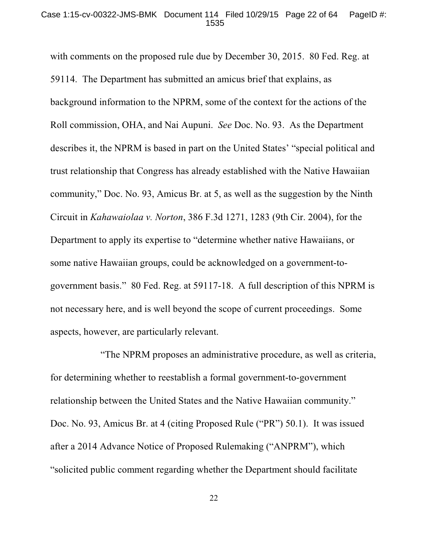#### Case 1:15-cv-00322-JMS-BMK Document 114 Filed 10/29/15 Page 22 of 64 PageID #: 1535

with comments on the proposed rule due by December 30, 2015. 80 Fed. Reg. at 59114. The Department has submitted an amicus brief that explains, as background information to the NPRM, some of the context for the actions of the Roll commission, OHA, and Nai Aupuni. *See* Doc. No. 93. As the Department describes it, the NPRM is based in part on the United States' "special political and trust relationship that Congress has already established with the Native Hawaiian community," Doc. No. 93, Amicus Br. at 5, as well as the suggestion by the Ninth Circuit in *Kahawaiolaa v. Norton*, 386 F.3d 1271, 1283 (9th Cir. 2004), for the Department to apply its expertise to "determine whether native Hawaiians, or some native Hawaiian groups, could be acknowledged on a government-togovernment basis." 80 Fed. Reg. at 59117-18. A full description of this NPRM is not necessary here, and is well beyond the scope of current proceedings. Some aspects, however, are particularly relevant.

"The NPRM proposes an administrative procedure, as well as criteria, for determining whether to reestablish a formal government-to-government relationship between the United States and the Native Hawaiian community." Doc. No. 93, Amicus Br. at 4 (citing Proposed Rule ("PR") 50.1). It was issued after a 2014 Advance Notice of Proposed Rulemaking ("ANPRM"), which "solicited public comment regarding whether the Department should facilitate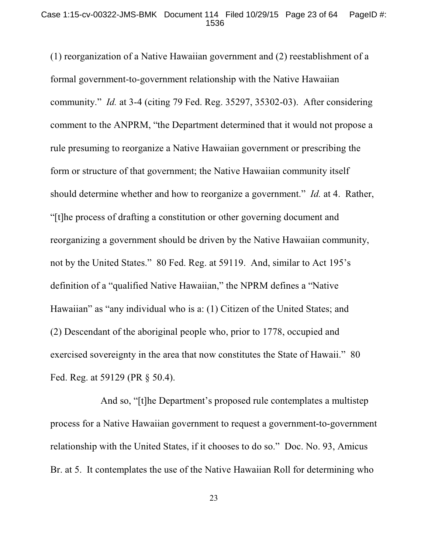(1) reorganization of a Native Hawaiian government and (2) reestablishment of a formal government-to-government relationship with the Native Hawaiian community." *Id.* at 3-4 (citing 79 Fed. Reg. 35297, 35302-03). After considering comment to the ANPRM, "the Department determined that it would not propose a rule presuming to reorganize a Native Hawaiian government or prescribing the form or structure of that government; the Native Hawaiian community itself should determine whether and how to reorganize a government." *Id.* at 4. Rather, "[t]he process of drafting a constitution or other governing document and reorganizing a government should be driven by the Native Hawaiian community, not by the United States." 80 Fed. Reg. at 59119. And, similar to Act 195's definition of a "qualified Native Hawaiian," the NPRM defines a "Native Hawaiian" as "any individual who is a: (1) Citizen of the United States; and (2) Descendant of the aboriginal people who, prior to 1778, occupied and exercised sovereignty in the area that now constitutes the State of Hawaii." 80 Fed. Reg. at 59129 (PR § 50.4).

And so, "[t]he Department's proposed rule contemplates a multistep process for a Native Hawaiian government to request a government-to-government relationship with the United States, if it chooses to do so." Doc. No. 93, Amicus Br. at 5. It contemplates the use of the Native Hawaiian Roll for determining who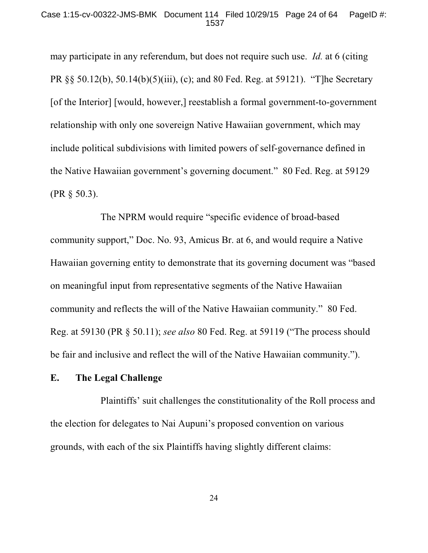may participate in any referendum, but does not require such use. *Id.* at 6 (citing PR §§ 50.12(b), 50.14(b)(5)(iii), (c); and 80 Fed. Reg. at 59121). "T]he Secretary [of the Interior] [would, however,] reestablish a formal government-to-government relationship with only one sovereign Native Hawaiian government, which may include political subdivisions with limited powers of self-governance defined in the Native Hawaiian government's governing document." 80 Fed. Reg. at 59129 (PR § 50.3).

The NPRM would require "specific evidence of broad-based community support," Doc. No. 93, Amicus Br. at 6, and would require a Native Hawaiian governing entity to demonstrate that its governing document was "based on meaningful input from representative segments of the Native Hawaiian community and reflects the will of the Native Hawaiian community." 80 Fed. Reg. at 59130 (PR § 50.11); *see also* 80 Fed. Reg. at 59119 ("The process should be fair and inclusive and reflect the will of the Native Hawaiian community.").

## **E. The Legal Challenge**

Plaintiffs' suit challenges the constitutionality of the Roll process and the election for delegates to Nai Aupuni's proposed convention on various grounds, with each of the six Plaintiffs having slightly different claims: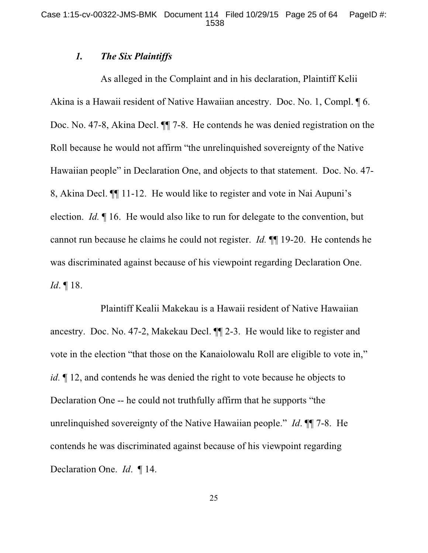## *1. The Six Plaintiffs*

As alleged in the Complaint and in his declaration, Plaintiff Kelii Akina is a Hawaii resident of Native Hawaiian ancestry. Doc. No. 1, Compl. ¶ 6. Doc. No. 47-8, Akina Decl. ¶¶ 7-8. He contends he was denied registration on the Roll because he would not affirm "the unrelinquished sovereignty of the Native Hawaiian people" in Declaration One, and objects to that statement. Doc. No. 47- 8, Akina Decl. ¶¶ 11-12. He would like to register and vote in Nai Aupuni's election. *Id.* ¶ 16. He would also like to run for delegate to the convention, but cannot run because he claims he could not register. *Id.* ¶¶ 19-20. He contends he was discriminated against because of his viewpoint regarding Declaration One. *Id*. ¶ 18.

Plaintiff Kealii Makekau is a Hawaii resident of Native Hawaiian ancestry. Doc. No. 47-2, Makekau Decl. ¶¶ 2-3. He would like to register and vote in the election "that those on the Kanaiolowalu Roll are eligible to vote in," *id.*  $\llbracket$  12, and contends he was denied the right to vote because he objects to Declaration One -- he could not truthfully affirm that he supports "the unrelinquished sovereignty of the Native Hawaiian people." *Id*. ¶¶ 7-8. He contends he was discriminated against because of his viewpoint regarding Declaration One. *Id*. ¶ 14.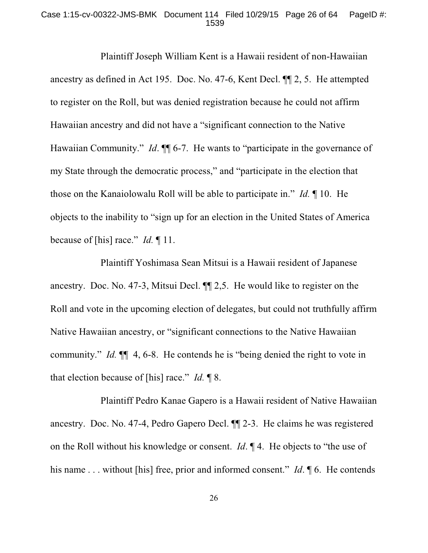### Case 1:15-cv-00322-JMS-BMK Document 114 Filed 10/29/15 Page 26 of 64 PageID #: 1539

Plaintiff Joseph William Kent is a Hawaii resident of non-Hawaiian ancestry as defined in Act 195. Doc. No. 47-6, Kent Decl. ¶¶ 2, 5. He attempted to register on the Roll, but was denied registration because he could not affirm Hawaiian ancestry and did not have a "significant connection to the Native Hawaiian Community." *Id.*  $\P$  6-7. He wants to "participate in the governance of my State through the democratic process," and "participate in the election that those on the Kanaiolowalu Roll will be able to participate in." *Id.* ¶ 10. He objects to the inability to "sign up for an election in the United States of America because of [his] race." *Id.* ¶ 11.

Plaintiff Yoshimasa Sean Mitsui is a Hawaii resident of Japanese ancestry. Doc. No. 47-3, Mitsui Decl. ¶¶ 2,5. He would like to register on the Roll and vote in the upcoming election of delegates, but could not truthfully affirm Native Hawaiian ancestry, or "significant connections to the Native Hawaiian community." *Id.* ¶¶ 4, 6-8. He contends he is "being denied the right to vote in that election because of [his] race." *Id.* ¶ 8.

Plaintiff Pedro Kanae Gapero is a Hawaii resident of Native Hawaiian ancestry. Doc. No. 47-4, Pedro Gapero Decl. ¶¶ 2-3. He claims he was registered on the Roll without his knowledge or consent. *Id*. ¶ 4. He objects to "the use of his name . . . without [his] free, prior and informed consent." *Id*.  $\mathcal{A}$  6. He contends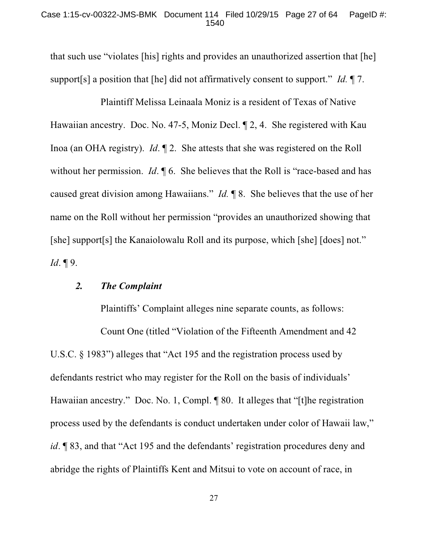### Case 1:15-cv-00322-JMS-BMK Document 114 Filed 10/29/15 Page 27 of 64 PageID #: 1540

that such use "violates [his] rights and provides an unauthorized assertion that [he] support[s] a position that [he] did not affirmatively consent to support." *Id.* ¶ 7.

Plaintiff Melissa Leinaala Moniz is a resident of Texas of Native Hawaiian ancestry. Doc. No. 47-5, Moniz Decl. ¶ 2, 4. She registered with Kau Inoa (an OHA registry). *Id*. ¶ 2. She attests that she was registered on the Roll without her permission. *Id*.  $\oint$  6. She believes that the Roll is "race-based and has caused great division among Hawaiians." *Id.* ¶ 8. She believes that the use of her name on the Roll without her permission "provides an unauthorized showing that [she] support[s] the Kanaiolowalu Roll and its purpose, which [she] [does] not." *Id*. ¶ 9.

# *2. The Complaint*

Plaintiffs' Complaint alleges nine separate counts, as follows:

Count One (titled "Violation of the Fifteenth Amendment and 42 U.S.C. § 1983") alleges that "Act 195 and the registration process used by defendants restrict who may register for the Roll on the basis of individuals' Hawaiian ancestry." Doc. No. 1, Compl. ¶ 80. It alleges that "[t]he registration process used by the defendants is conduct undertaken under color of Hawaii law," *id*. ¶ 83, and that "Act 195 and the defendants' registration procedures deny and abridge the rights of Plaintiffs Kent and Mitsui to vote on account of race, in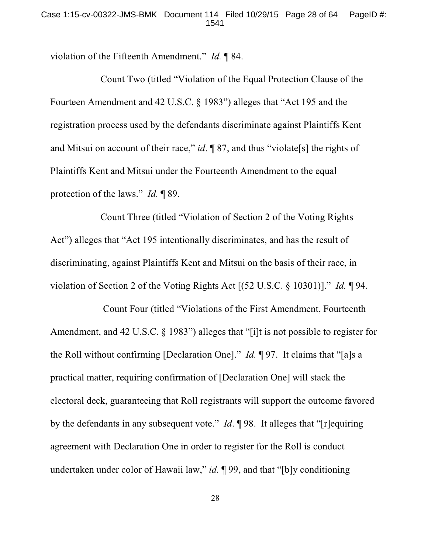violation of the Fifteenth Amendment." *Id.* ¶ 84.

Count Two (titled "Violation of the Equal Protection Clause of the Fourteen Amendment and 42 U.S.C. § 1983") alleges that "Act 195 and the registration process used by the defendants discriminate against Plaintiffs Kent and Mitsui on account of their race," *id*. ¶ 87, and thus "violate[s] the rights of Plaintiffs Kent and Mitsui under the Fourteenth Amendment to the equal protection of the laws." *Id.* ¶ 89.

Count Three (titled "Violation of Section 2 of the Voting Rights Act") alleges that "Act 195 intentionally discriminates, and has the result of discriminating, against Plaintiffs Kent and Mitsui on the basis of their race, in violation of Section 2 of the Voting Rights Act [(52 U.S.C. § 10301)]." *Id.* ¶ 94.

 Count Four (titled "Violations of the First Amendment, Fourteenth Amendment, and 42 U.S.C. § 1983") alleges that "[i]t is not possible to register for the Roll without confirming [Declaration One]." *Id.* ¶ 97. It claims that "[a]s a practical matter, requiring confirmation of [Declaration One] will stack the electoral deck, guaranteeing that Roll registrants will support the outcome favored by the defendants in any subsequent vote." *Id*. ¶ 98. It alleges that "[r]equiring agreement with Declaration One in order to register for the Roll is conduct undertaken under color of Hawaii law," *id.* ¶ 99, and that "[b]y conditioning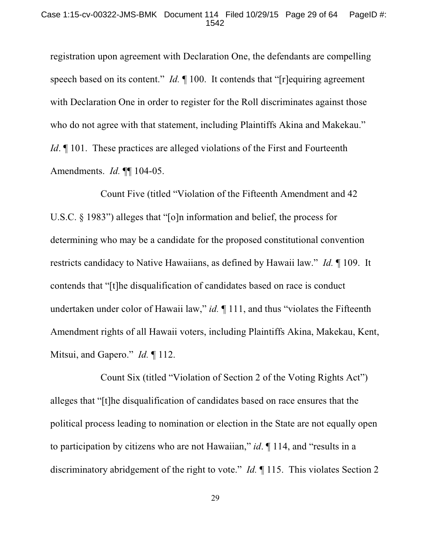registration upon agreement with Declaration One, the defendants are compelling speech based on its content." *Id.* 100. It contends that "[r]equiring agreement with Declaration One in order to register for the Roll discriminates against those who do not agree with that statement, including Plaintiffs Akina and Makekau." *Id*. **[101.** These practices are alleged violations of the First and Fourteenth Amendments. *Id.* ¶¶ 104-05.

Count Five (titled "Violation of the Fifteenth Amendment and 42 U.S.C. § 1983") alleges that "[o]n information and belief, the process for determining who may be a candidate for the proposed constitutional convention restricts candidacy to Native Hawaiians, as defined by Hawaii law." *Id.* ¶ 109. It contends that "[t]he disqualification of candidates based on race is conduct undertaken under color of Hawaii law," *id.* ¶ 111, and thus "violates the Fifteenth Amendment rights of all Hawaii voters, including Plaintiffs Akina, Makekau, Kent, Mitsui, and Gapero." *Id.* ¶ 112.

Count Six (titled "Violation of Section 2 of the Voting Rights Act") alleges that "[t]he disqualification of candidates based on race ensures that the political process leading to nomination or election in the State are not equally open to participation by citizens who are not Hawaiian," *id*. ¶ 114, and "results in a discriminatory abridgement of the right to vote." *Id.* ¶ 115. This violates Section 2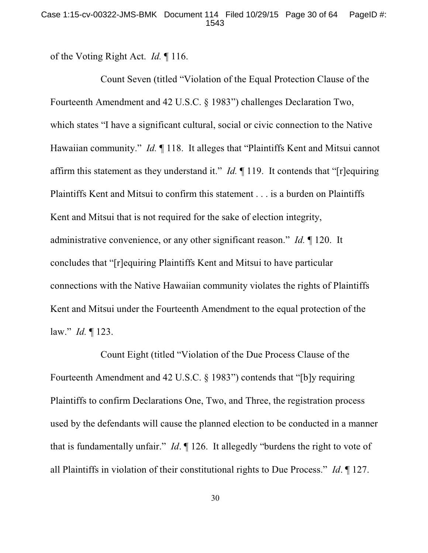of the Voting Right Act. *Id.* ¶ 116.

Count Seven (titled "Violation of the Equal Protection Clause of the Fourteenth Amendment and 42 U.S.C. § 1983") challenges Declaration Two, which states "I have a significant cultural, social or civic connection to the Native Hawaiian community." *Id.* ¶ 118. It alleges that "Plaintiffs Kent and Mitsui cannot affirm this statement as they understand it." *Id.* ¶ 119. It contends that "[r]equiring Plaintiffs Kent and Mitsui to confirm this statement . . . is a burden on Plaintiffs Kent and Mitsui that is not required for the sake of election integrity, administrative convenience, or any other significant reason." *Id.* ¶ 120. It concludes that "[r]equiring Plaintiffs Kent and Mitsui to have particular connections with the Native Hawaiian community violates the rights of Plaintiffs Kent and Mitsui under the Fourteenth Amendment to the equal protection of the law." *Id.* ¶ 123.

Count Eight (titled "Violation of the Due Process Clause of the Fourteenth Amendment and 42 U.S.C. § 1983") contends that "[b]y requiring Plaintiffs to confirm Declarations One, Two, and Three, the registration process used by the defendants will cause the planned election to be conducted in a manner that is fundamentally unfair." *Id*. ¶ 126. It allegedly "burdens the right to vote of all Plaintiffs in violation of their constitutional rights to Due Process." *Id*. ¶ 127.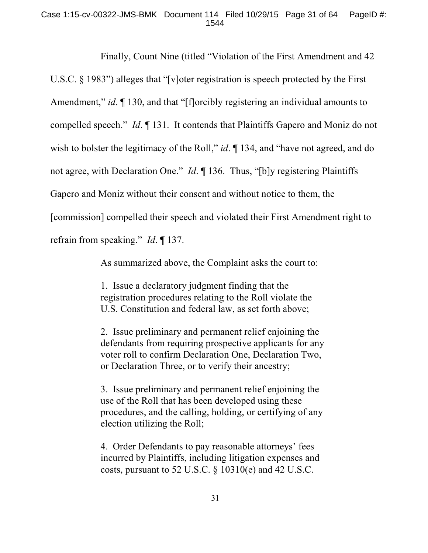### Case 1:15-cv-00322-JMS-BMK Document 114 Filed 10/29/15 Page 31 of 64 PageID #: 1544

Finally, Count Nine (titled "Violation of the First Amendment and 42 U.S.C. § 1983") alleges that "[v]oter registration is speech protected by the First Amendment," *id*. ¶ 130, and that "[f]orcibly registering an individual amounts to compelled speech." *Id*. ¶ 131. It contends that Plaintiffs Gapero and Moniz do not wish to bolster the legitimacy of the Roll," *id*.  $\P$  134, and "have not agreed, and do not agree, with Declaration One." *Id*. ¶ 136. Thus, "[b]y registering Plaintiffs Gapero and Moniz without their consent and without notice to them, the [commission] compelled their speech and violated their First Amendment right to refrain from speaking." *Id*. ¶ 137.

As summarized above, the Complaint asks the court to:

1. Issue a declaratory judgment finding that the registration procedures relating to the Roll violate the U.S. Constitution and federal law, as set forth above;

2. Issue preliminary and permanent relief enjoining the defendants from requiring prospective applicants for any voter roll to confirm Declaration One, Declaration Two, or Declaration Three, or to verify their ancestry;

3. Issue preliminary and permanent relief enjoining the use of the Roll that has been developed using these procedures, and the calling, holding, or certifying of any election utilizing the Roll;

4. Order Defendants to pay reasonable attorneys' fees incurred by Plaintiffs, including litigation expenses and costs, pursuant to 52 U.S.C. § 10310(e) and 42 U.S.C.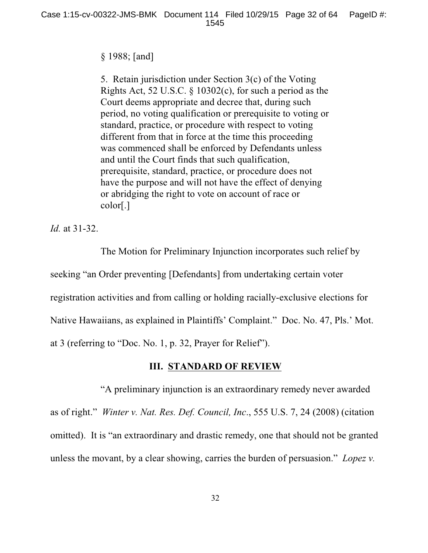## § 1988; [and]

5. Retain jurisdiction under Section 3(c) of the Voting Rights Act, 52 U.S.C. § 10302(c), for such a period as the Court deems appropriate and decree that, during such period, no voting qualification or prerequisite to voting or standard, practice, or procedure with respect to voting different from that in force at the time this proceeding was commenced shall be enforced by Defendants unless and until the Court finds that such qualification, prerequisite, standard, practice, or procedure does not have the purpose and will not have the effect of denying or abridging the right to vote on account of race or color[.]

*Id.* at 31-32.

The Motion for Preliminary Injunction incorporates such relief by seeking "an Order preventing [Defendants] from undertaking certain voter registration activities and from calling or holding racially-exclusive elections for Native Hawaiians, as explained in Plaintiffs' Complaint." Doc. No. 47, Pls.' Mot. at 3 (referring to "Doc. No. 1, p. 32, Prayer for Relief").

# **III. STANDARD OF REVIEW**

"A preliminary injunction is an extraordinary remedy never awarded as of right." *Winter v. Nat. Res. Def. Council, Inc*., 555 U.S. 7, 24 (2008) (citation omitted). It is "an extraordinary and drastic remedy, one that should not be granted unless the movant, by a clear showing, carries the burden of persuasion." *Lopez v.*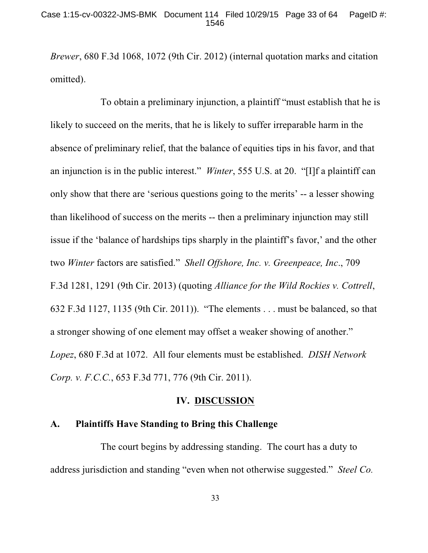*Brewer*, 680 F.3d 1068, 1072 (9th Cir. 2012) (internal quotation marks and citation omitted).

To obtain a preliminary injunction, a plaintiff "must establish that he is likely to succeed on the merits, that he is likely to suffer irreparable harm in the absence of preliminary relief, that the balance of equities tips in his favor, and that an injunction is in the public interest." *Winter*, 555 U.S. at 20. "[I]f a plaintiff can only show that there are 'serious questions going to the merits' -- a lesser showing than likelihood of success on the merits -- then a preliminary injunction may still issue if the 'balance of hardships tips sharply in the plaintiff's favor,' and the other two *Winter* factors are satisfied." *Shell Offshore, Inc. v. Greenpeace, Inc*., 709 F.3d 1281, 1291 (9th Cir. 2013) (quoting *Alliance for the Wild Rockies v. Cottrell*, 632 F.3d 1127, 1135 (9th Cir. 2011)). "The elements . . . must be balanced, so that a stronger showing of one element may offset a weaker showing of another." *Lopez*, 680 F.3d at 1072. All four elements must be established. *DISH Network Corp. v. F.C.C.*, 653 F.3d 771, 776 (9th Cir. 2011).

### **IV. DISCUSSION**

### **A. Plaintiffs Have Standing to Bring this Challenge**

The court begins by addressing standing. The court has a duty to address jurisdiction and standing "even when not otherwise suggested." *Steel Co.*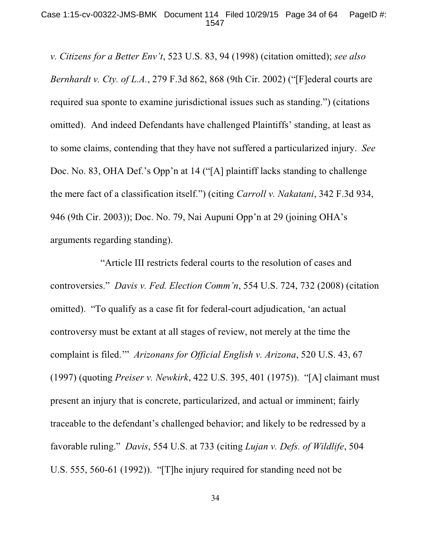*v. Citizens for a Better Env't*, 523 U.S. 83, 94 (1998) (citation omitted); *see also Bernhardt v. Cty. of L.A.*, 279 F.3d 862, 868 (9th Cir. 2002) ("[F]ederal courts are required sua sponte to examine jurisdictional issues such as standing.") (citations omitted). And indeed Defendants have challenged Plaintiffs' standing, at least as to some claims, contending that they have not suffered a particularized injury. *See* Doc. No. 83, OHA Def.'s Opp'n at 14 ("[A] plaintiff lacks standing to challenge the mere fact of a classification itself.") (citing *Carroll v. Nakatani*, 342 F.3d 934, 946 (9th Cir. 2003)); Doc. No. 79, Nai Aupuni Opp'n at 29 (joining OHA's arguments regarding standing).

"Article III restricts federal courts to the resolution of cases and controversies." *Davis v. Fed. Election Comm'n*, 554 U.S. 724, 732 (2008) (citation omitted). "To qualify as a case fit for federal-court adjudication, 'an actual controversy must be extant at all stages of review, not merely at the time the complaint is filed.'" *Arizonans for Official English v. Arizona*, 520 U.S. 43, 67 (1997) (quoting *Preiser v. Newkirk*, 422 U.S. 395, 401 (1975)). "[A] claimant must present an injury that is concrete, particularized, and actual or imminent; fairly traceable to the defendant's challenged behavior; and likely to be redressed by a favorable ruling." *Davis*, 554 U.S. at 733 (citing *Lujan v. Defs. of Wildlife*, 504 U.S. 555, 560-61 (1992)). "[T]he injury required for standing need not be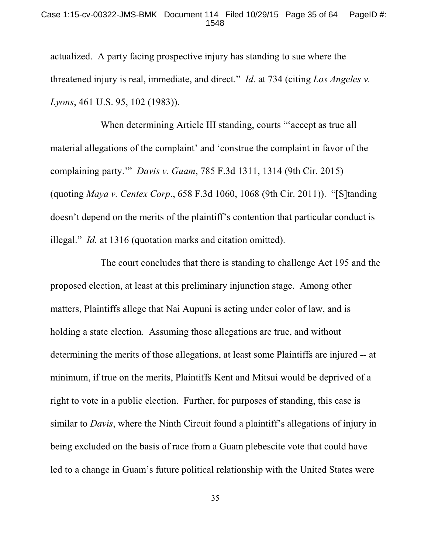### Case 1:15-cv-00322-JMS-BMK Document 114 Filed 10/29/15 Page 35 of 64 PageID #: 1548

actualized. A party facing prospective injury has standing to sue where the threatened injury is real, immediate, and direct." *Id*. at 734 (citing *Los Angeles v. Lyons*, 461 U.S. 95, 102 (1983)).

When determining Article III standing, courts "'accept as true all material allegations of the complaint' and 'construe the complaint in favor of the complaining party.'" *Davis v. Guam*, 785 F.3d 1311, 1314 (9th Cir. 2015) (quoting *Maya v. Centex Corp*., 658 F.3d 1060, 1068 (9th Cir. 2011)). "[S]tanding doesn't depend on the merits of the plaintiff's contention that particular conduct is illegal." *Id.* at 1316 (quotation marks and citation omitted).

The court concludes that there is standing to challenge Act 195 and the proposed election, at least at this preliminary injunction stage. Among other matters, Plaintiffs allege that Nai Aupuni is acting under color of law, and is holding a state election. Assuming those allegations are true, and without determining the merits of those allegations, at least some Plaintiffs are injured -- at minimum, if true on the merits, Plaintiffs Kent and Mitsui would be deprived of a right to vote in a public election. Further, for purposes of standing, this case is similar to *Davis*, where the Ninth Circuit found a plaintiff's allegations of injury in being excluded on the basis of race from a Guam plebescite vote that could have led to a change in Guam's future political relationship with the United States were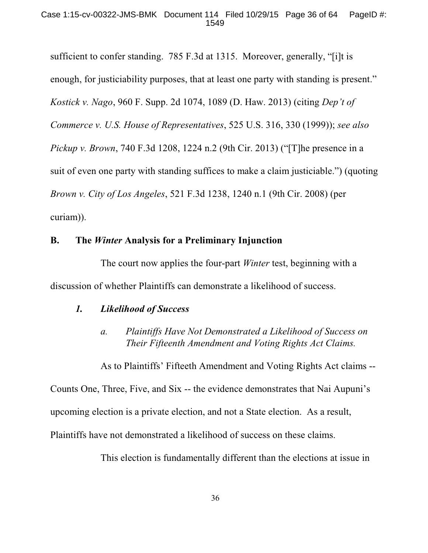sufficient to confer standing. 785 F.3d at 1315. Moreover, generally, "[i]t is enough, for justiciability purposes, that at least one party with standing is present." *Kostick v. Nago*, 960 F. Supp. 2d 1074, 1089 (D. Haw. 2013) (citing *Dep't of Commerce v. U.S. House of Representatives*, 525 U.S. 316, 330 (1999)); *see also Pickup v. Brown*, 740 F.3d 1208, 1224 n.2 (9th Cir. 2013) ("[T]he presence in a suit of even one party with standing suffices to make a claim justiciable.") (quoting *Brown v. City of Los Angeles*, 521 F.3d 1238, 1240 n.1 (9th Cir. 2008) (per curiam)).

## **B. The** *Winter* **Analysis for a Preliminary Injunction**

The court now applies the four-part *Winter* test, beginning with a discussion of whether Plaintiffs can demonstrate a likelihood of success.

## *1. Likelihood of Success*

*a. Plaintiffs Have Not Demonstrated a Likelihood of Success on Their Fifteenth Amendment and Voting Rights Act Claims.*

As to Plaintiffs' Fifteeth Amendment and Voting Rights Act claims --

Counts One, Three, Five, and Six -- the evidence demonstrates that Nai Aupuni's

upcoming election is a private election, and not a State election. As a result,

Plaintiffs have not demonstrated a likelihood of success on these claims.

This election is fundamentally different than the elections at issue in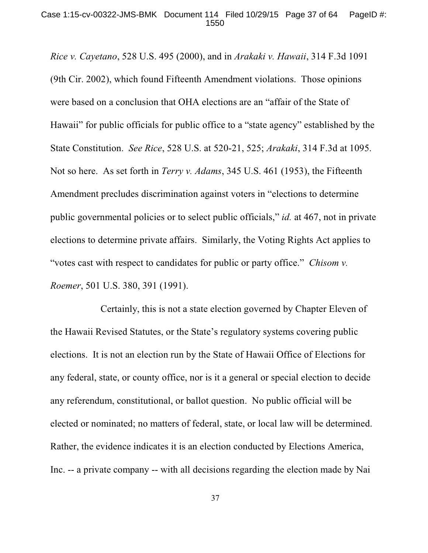*Rice v. Cayetano*, 528 U.S. 495 (2000), and in *Arakaki v. Hawaii*, 314 F.3d 1091 (9th Cir. 2002), which found Fifteenth Amendment violations. Those opinions were based on a conclusion that OHA elections are an "affair of the State of Hawaii" for public officials for public office to a "state agency" established by the State Constitution. *See Rice*, 528 U.S. at 520-21, 525; *Arakaki*, 314 F.3d at 1095. Not so here. As set forth in *Terry v. Adams*, 345 U.S. 461 (1953), the Fifteenth Amendment precludes discrimination against voters in "elections to determine public governmental policies or to select public officials," *id.* at 467, not in private elections to determine private affairs. Similarly, the Voting Rights Act applies to "votes cast with respect to candidates for public or party office." *Chisom v. Roemer*, 501 U.S. 380, 391 (1991).

Certainly, this is not a state election governed by Chapter Eleven of the Hawaii Revised Statutes, or the State's regulatory systems covering public elections. It is not an election run by the State of Hawaii Office of Elections for any federal, state, or county office, nor is it a general or special election to decide any referendum, constitutional, or ballot question. No public official will be elected or nominated; no matters of federal, state, or local law will be determined. Rather, the evidence indicates it is an election conducted by Elections America, Inc. -- a private company -- with all decisions regarding the election made by Nai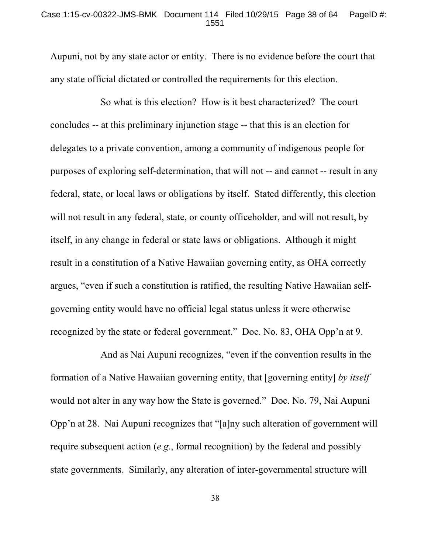### Case 1:15-cv-00322-JMS-BMK Document 114 Filed 10/29/15 Page 38 of 64 PageID #: 1551

Aupuni, not by any state actor or entity. There is no evidence before the court that any state official dictated or controlled the requirements for this election.

So what is this election? How is it best characterized? The court concludes -- at this preliminary injunction stage -- that this is an election for delegates to a private convention, among a community of indigenous people for purposes of exploring self-determination, that will not -- and cannot -- result in any federal, state, or local laws or obligations by itself. Stated differently, this election will not result in any federal, state, or county officeholder, and will not result, by itself, in any change in federal or state laws or obligations. Although it might result in a constitution of a Native Hawaiian governing entity, as OHA correctly argues, "even if such a constitution is ratified, the resulting Native Hawaiian selfgoverning entity would have no official legal status unless it were otherwise recognized by the state or federal government." Doc. No. 83, OHA Opp'n at 9.

And as Nai Aupuni recognizes, "even if the convention results in the formation of a Native Hawaiian governing entity, that [governing entity] *by itself* would not alter in any way how the State is governed." Doc. No. 79, Nai Aupuni Opp'n at 28. Nai Aupuni recognizes that "[a]ny such alteration of government will require subsequent action (*e.g*., formal recognition) by the federal and possibly state governments. Similarly, any alteration of inter-governmental structure will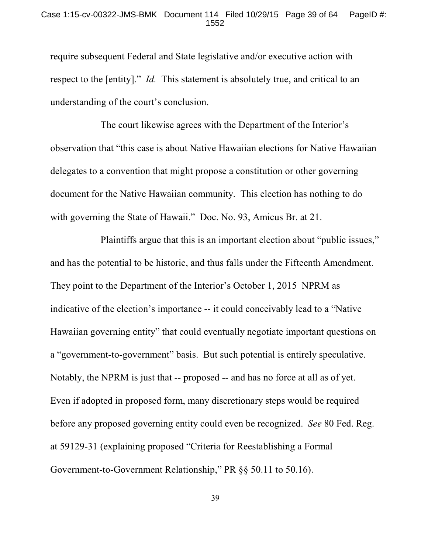### Case 1:15-cv-00322-JMS-BMK Document 114 Filed 10/29/15 Page 39 of 64 PageID #: 1552

require subsequent Federal and State legislative and/or executive action with respect to the [entity]." *Id.* This statement is absolutely true, and critical to an understanding of the court's conclusion.

The court likewise agrees with the Department of the Interior's observation that "this case is about Native Hawaiian elections for Native Hawaiian delegates to a convention that might propose a constitution or other governing document for the Native Hawaiian community. This election has nothing to do with governing the State of Hawaii." Doc. No. 93, Amicus Br. at 21.

Plaintiffs argue that this is an important election about "public issues," and has the potential to be historic, and thus falls under the Fifteenth Amendment. They point to the Department of the Interior's October 1, 2015 NPRM as indicative of the election's importance -- it could conceivably lead to a "Native Hawaiian governing entity" that could eventually negotiate important questions on a "government-to-government" basis. But such potential is entirely speculative. Notably, the NPRM is just that -- proposed -- and has no force at all as of yet. Even if adopted in proposed form, many discretionary steps would be required before any proposed governing entity could even be recognized. *See* 80 Fed. Reg. at 59129-31 (explaining proposed "Criteria for Reestablishing a Formal Government-to-Government Relationship," PR §§ 50.11 to 50.16).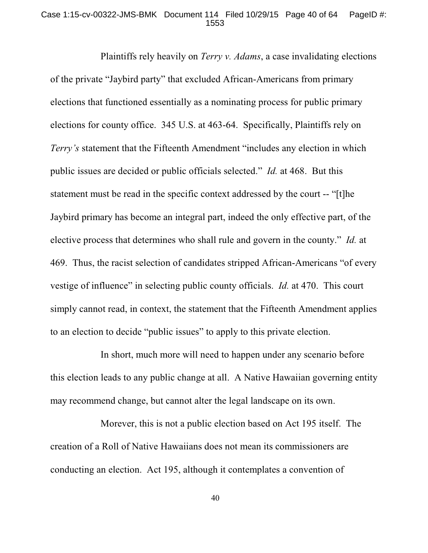### Case 1:15-cv-00322-JMS-BMK Document 114 Filed 10/29/15 Page 40 of 64 PageID #: 1553

Plaintiffs rely heavily on *Terry v. Adams*, a case invalidating elections of the private "Jaybird party" that excluded African-Americans from primary elections that functioned essentially as a nominating process for public primary elections for county office. 345 U.S. at 463-64. Specifically, Plaintiffs rely on *Terry's* statement that the Fifteenth Amendment "includes any election in which public issues are decided or public officials selected." *Id.* at 468. But this statement must be read in the specific context addressed by the court -- "[t]he Jaybird primary has become an integral part, indeed the only effective part, of the elective process that determines who shall rule and govern in the county." *Id.* at 469. Thus, the racist selection of candidates stripped African-Americans "of every vestige of influence" in selecting public county officials. *Id.* at 470. This court simply cannot read, in context, the statement that the Fifteenth Amendment applies to an election to decide "public issues" to apply to this private election.

In short, much more will need to happen under any scenario before this election leads to any public change at all. A Native Hawaiian governing entity may recommend change, but cannot alter the legal landscape on its own.

Morever, this is not a public election based on Act 195 itself. The creation of a Roll of Native Hawaiians does not mean its commissioners are conducting an election. Act 195, although it contemplates a convention of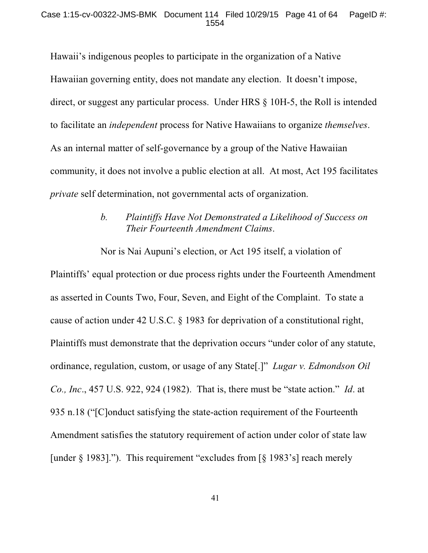Hawaii's indigenous peoples to participate in the organization of a Native Hawaiian governing entity, does not mandate any election. It doesn't impose, direct, or suggest any particular process. Under HRS § 10H-5, the Roll is intended to facilitate an *independent* process for Native Hawaiians to organize *themselves*. As an internal matter of self-governance by a group of the Native Hawaiian community, it does not involve a public election at all. At most, Act 195 facilitates *private* self determination, not governmental acts of organization.

# *b. Plaintiffs Have Not Demonstrated a Likelihood of Success on Their Fourteenth Amendment Claims*.

Nor is Nai Aupuni's election, or Act 195 itself, a violation of Plaintiffs' equal protection or due process rights under the Fourteenth Amendment as asserted in Counts Two, Four, Seven, and Eight of the Complaint. To state a cause of action under 42 U.S.C. § 1983 for deprivation of a constitutional right, Plaintiffs must demonstrate that the deprivation occurs "under color of any statute, ordinance, regulation, custom, or usage of any State[.]" *Lugar v. Edmondson Oil Co., Inc*., 457 U.S. 922, 924 (1982). That is, there must be "state action." *Id*. at 935 n.18 ("[C]onduct satisfying the state-action requirement of the Fourteenth Amendment satisfies the statutory requirement of action under color of state law [under  $\S$  1983]."). This requirement "excludes from [ $\S$  1983's] reach merely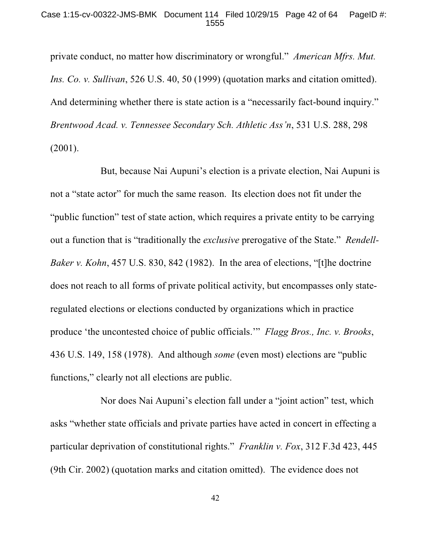private conduct, no matter how discriminatory or wrongful." *American Mfrs. Mut. Ins. Co. v. Sullivan*, 526 U.S. 40, 50 (1999) (quotation marks and citation omitted). And determining whether there is state action is a "necessarily fact-bound inquiry." *Brentwood Acad. v. Tennessee Secondary Sch. Athletic Ass'n*, 531 U.S. 288, 298 (2001).

But, because Nai Aupuni's election is a private election, Nai Aupuni is not a "state actor" for much the same reason. Its election does not fit under the "public function" test of state action, which requires a private entity to be carrying out a function that is "traditionally the *exclusive* prerogative of the State." *Rendell-Baker v. Kohn*, 457 U.S. 830, 842 (1982). In the area of elections, "[t]he doctrine does not reach to all forms of private political activity, but encompasses only stateregulated elections or elections conducted by organizations which in practice produce 'the uncontested choice of public officials.'" *Flagg Bros., Inc. v. Brooks*, 436 U.S. 149, 158 (1978). And although *some* (even most) elections are "public functions," clearly not all elections are public.

Nor does Nai Aupuni's election fall under a "joint action" test, which asks "whether state officials and private parties have acted in concert in effecting a particular deprivation of constitutional rights." *Franklin v. Fox*, 312 F.3d 423, 445 (9th Cir. 2002) (quotation marks and citation omitted). The evidence does not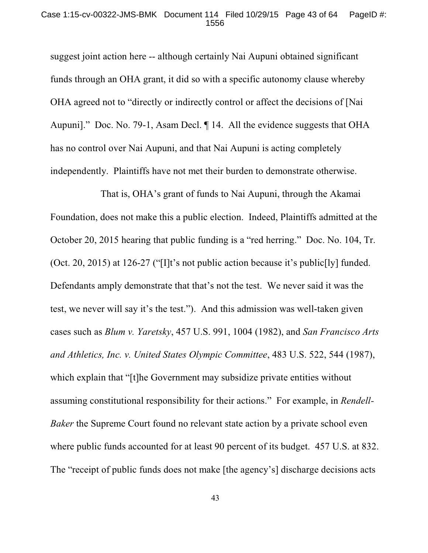#### Case 1:15-cv-00322-JMS-BMK Document 114 Filed 10/29/15 Page 43 of 64 PageID #: 1556

suggest joint action here -- although certainly Nai Aupuni obtained significant funds through an OHA grant, it did so with a specific autonomy clause whereby OHA agreed not to "directly or indirectly control or affect the decisions of [Nai Aupuni]." Doc. No. 79-1, Asam Decl. ¶ 14. All the evidence suggests that OHA has no control over Nai Aupuni, and that Nai Aupuni is acting completely independently. Plaintiffs have not met their burden to demonstrate otherwise.

That is, OHA's grant of funds to Nai Aupuni, through the Akamai Foundation, does not make this a public election. Indeed, Plaintiffs admitted at the October 20, 2015 hearing that public funding is a "red herring." Doc. No. 104, Tr. (Oct. 20, 2015) at 126-27 ("[I]t's not public action because it's public[ly] funded. Defendants amply demonstrate that that's not the test. We never said it was the test, we never will say it's the test."). And this admission was well-taken given cases such as *Blum v. Yaretsky*, 457 U.S. 991, 1004 (1982), and *San Francisco Arts and Athletics, Inc. v. United States Olympic Committee*, 483 U.S. 522, 544 (1987), which explain that "[t]he Government may subsidize private entities without assuming constitutional responsibility for their actions." For example, in *Rendell-Baker* the Supreme Court found no relevant state action by a private school even where public funds accounted for at least 90 percent of its budget. 457 U.S. at 832. The "receipt of public funds does not make [the agency's] discharge decisions acts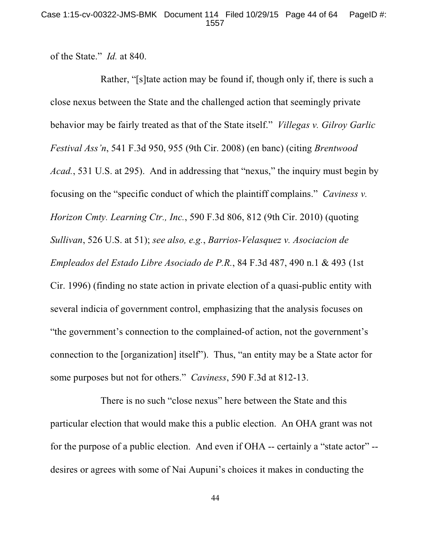of the State." *Id.* at 840.

Rather, "[s]tate action may be found if, though only if, there is such a close nexus between the State and the challenged action that seemingly private behavior may be fairly treated as that of the State itself." *Villegas v. Gilroy Garlic Festival Ass'n*, 541 F.3d 950, 955 (9th Cir. 2008) (en banc) (citing *Brentwood Acad.*, 531 U.S. at 295). And in addressing that "nexus," the inquiry must begin by focusing on the "specific conduct of which the plaintiff complains." *Caviness v. Horizon Cmty. Learning Ctr., Inc.*, 590 F.3d 806, 812 (9th Cir. 2010) (quoting *Sullivan*, 526 U.S. at 51); *see also, e.g.*, *Barrios-Velasquez v. Asociacion de Empleados del Estado Libre Asociado de P.R.*, 84 F.3d 487, 490 n.1 & 493 (1st Cir. 1996) (finding no state action in private election of a quasi-public entity with several indicia of government control, emphasizing that the analysis focuses on "the government's connection to the complained-of action, not the government's connection to the [organization] itself"). Thus, "an entity may be a State actor for some purposes but not for others." *Caviness*, 590 F.3d at 812-13.

There is no such "close nexus" here between the State and this particular election that would make this a public election. An OHA grant was not for the purpose of a public election. And even if OHA -- certainly a "state actor" - desires or agrees with some of Nai Aupuni's choices it makes in conducting the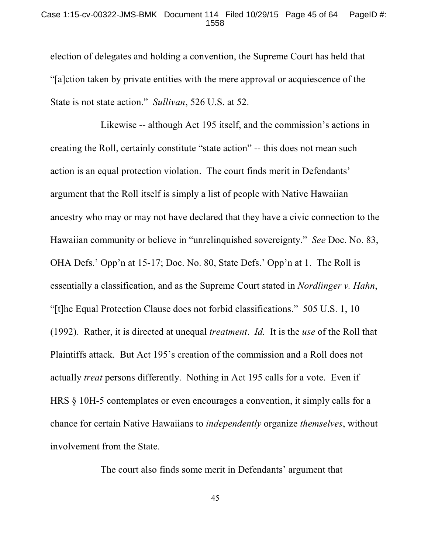### Case 1:15-cv-00322-JMS-BMK Document 114 Filed 10/29/15 Page 45 of 64 PageID #: 1558

election of delegates and holding a convention, the Supreme Court has held that "[a]ction taken by private entities with the mere approval or acquiescence of the State is not state action." *Sullivan*, 526 U.S. at 52.

Likewise -- although Act 195 itself, and the commission's actions in creating the Roll, certainly constitute "state action" -- this does not mean such action is an equal protection violation. The court finds merit in Defendants' argument that the Roll itself is simply a list of people with Native Hawaiian ancestry who may or may not have declared that they have a civic connection to the Hawaiian community or believe in "unrelinquished sovereignty." *See* Doc. No. 83, OHA Defs.' Opp'n at 15-17; Doc. No. 80, State Defs.' Opp'n at 1. The Roll is essentially a classification, and as the Supreme Court stated in *Nordlinger v. Hahn*, "[t]he Equal Protection Clause does not forbid classifications." 505 U.S. 1, 10 (1992). Rather, it is directed at unequal *treatment*. *Id.* It is the *use* of the Roll that Plaintiffs attack. But Act 195's creation of the commission and a Roll does not actually *treat* persons differently. Nothing in Act 195 calls for a vote. Even if HRS § 10H-5 contemplates or even encourages a convention, it simply calls for a chance for certain Native Hawaiians to *independently* organize *themselves*, without involvement from the State.

The court also finds some merit in Defendants' argument that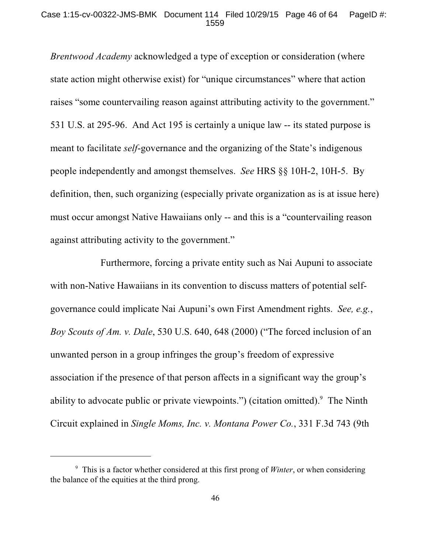### Case 1:15-cv-00322-JMS-BMK Document 114 Filed 10/29/15 Page 46 of 64 PageID #: 1559

*Brentwood Academy* acknowledged a type of exception or consideration (where state action might otherwise exist) for "unique circumstances" where that action raises "some countervailing reason against attributing activity to the government." 531 U.S. at 295-96. And Act 195 is certainly a unique law -- its stated purpose is meant to facilitate *self*-governance and the organizing of the State's indigenous people independently and amongst themselves. *See* HRS §§ 10H-2, 10H-5. By definition, then, such organizing (especially private organization as is at issue here) must occur amongst Native Hawaiians only -- and this is a "countervailing reason against attributing activity to the government."

Furthermore, forcing a private entity such as Nai Aupuni to associate with non-Native Hawaiians in its convention to discuss matters of potential selfgovernance could implicate Nai Aupuni's own First Amendment rights. *See, e.g.*, *Boy Scouts of Am. v. Dale*, 530 U.S. 640, 648 (2000) ("The forced inclusion of an unwanted person in a group infringes the group's freedom of expressive association if the presence of that person affects in a significant way the group's ability to advocate public or private viewpoints.") (citation omitted). $9$  The Ninth Circuit explained in *Single Moms, Inc. v. Montana Power Co.*, 331 F.3d 743 (9th

This is a factor whether considered at this first prong of *Winter*, or when considering <sup>9</sup> the balance of the equities at the third prong.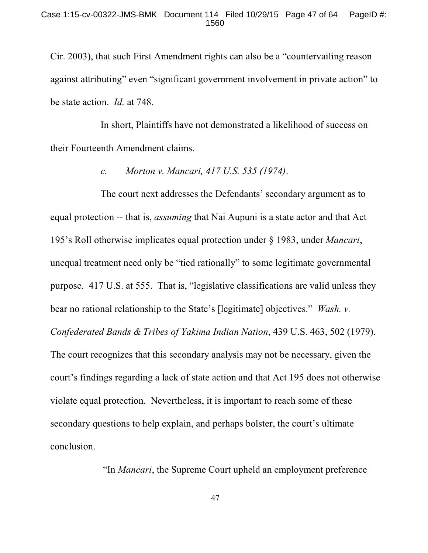Cir. 2003), that such First Amendment rights can also be a "countervailing reason against attributing" even "significant government involvement in private action" to be state action. *Id.* at 748.

In short, Plaintiffs have not demonstrated a likelihood of success on their Fourteenth Amendment claims.

*c. Morton v. Mancari, 417 U.S. 535 (1974)*.

The court next addresses the Defendants' secondary argument as to equal protection -- that is, *assuming* that Nai Aupuni is a state actor and that Act 195's Roll otherwise implicates equal protection under § 1983, under *Mancari*, unequal treatment need only be "tied rationally" to some legitimate governmental purpose. 417 U.S. at 555. That is, "legislative classifications are valid unless they bear no rational relationship to the State's [legitimate] objectives." *Wash. v. Confederated Bands & Tribes of Yakima Indian Nation*, 439 U.S. 463, 502 (1979). The court recognizes that this secondary analysis may not be necessary, given the court's findings regarding a lack of state action and that Act 195 does not otherwise violate equal protection. Nevertheless, it is important to reach some of these secondary questions to help explain, and perhaps bolster, the court's ultimate conclusion.

"In *Mancari*, the Supreme Court upheld an employment preference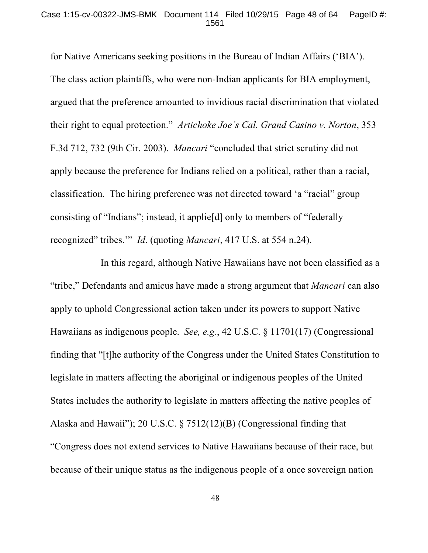### Case 1:15-cv-00322-JMS-BMK Document 114 Filed 10/29/15 Page 48 of 64 PageID #: 1561

for Native Americans seeking positions in the Bureau of Indian Affairs ('BIA'). The class action plaintiffs, who were non-Indian applicants for BIA employment, argued that the preference amounted to invidious racial discrimination that violated their right to equal protection." *Artichoke Joe's Cal. Grand Casino v. Norton*, 353 F.3d 712, 732 (9th Cir. 2003). *Mancari* "concluded that strict scrutiny did not apply because the preference for Indians relied on a political, rather than a racial, classification. The hiring preference was not directed toward 'a "racial" group consisting of "Indians"; instead, it applie[d] only to members of "federally recognized" tribes.'" *Id*. (quoting *Mancari*, 417 U.S. at 554 n.24).

In this regard, although Native Hawaiians have not been classified as a "tribe," Defendants and amicus have made a strong argument that *Mancari* can also apply to uphold Congressional action taken under its powers to support Native Hawaiians as indigenous people. *See, e.g.*, 42 U.S.C. § 11701(17) (Congressional finding that "[t]he authority of the Congress under the United States Constitution to legislate in matters affecting the aboriginal or indigenous peoples of the United States includes the authority to legislate in matters affecting the native peoples of Alaska and Hawaii"); 20 U.S.C. § 7512(12)(B) (Congressional finding that "Congress does not extend services to Native Hawaiians because of their race, but because of their unique status as the indigenous people of a once sovereign nation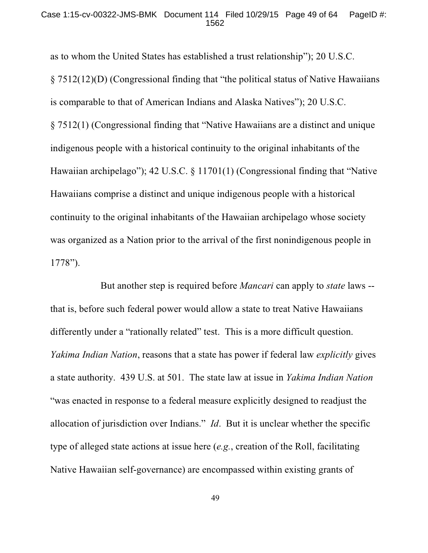#### Case 1:15-cv-00322-JMS-BMK Document 114 Filed 10/29/15 Page 49 of 64 PageID #: 1562

as to whom the United States has established a trust relationship"); 20 U.S.C. § 7512(12)(D) (Congressional finding that "the political status of Native Hawaiians is comparable to that of American Indians and Alaska Natives"); 20 U.S.C. § 7512(1) (Congressional finding that "Native Hawaiians are a distinct and unique indigenous people with a historical continuity to the original inhabitants of the Hawaiian archipelago"); 42 U.S.C. § 11701(1) (Congressional finding that "Native Hawaiians comprise a distinct and unique indigenous people with a historical continuity to the original inhabitants of the Hawaiian archipelago whose society was organized as a Nation prior to the arrival of the first nonindigenous people in 1778").

But another step is required before *Mancari* can apply to *state* laws - that is, before such federal power would allow a state to treat Native Hawaiians differently under a "rationally related" test. This is a more difficult question. *Yakima Indian Nation*, reasons that a state has power if federal law *explicitly* gives a state authority. 439 U.S. at 501. The state law at issue in *Yakima Indian Nation* "was enacted in response to a federal measure explicitly designed to readjust the allocation of jurisdiction over Indians." *Id*. But it is unclear whether the specific type of alleged state actions at issue here (*e.g.*, creation of the Roll, facilitating Native Hawaiian self-governance) are encompassed within existing grants of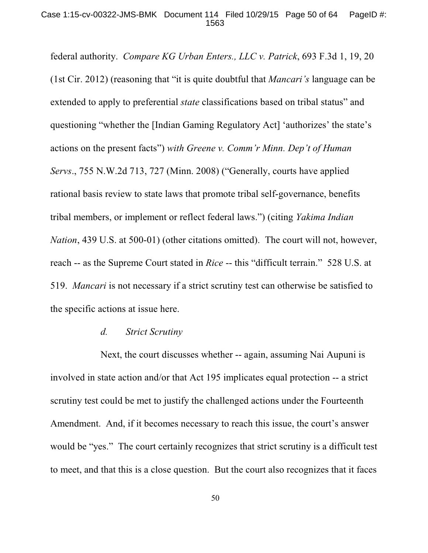### Case 1:15-cv-00322-JMS-BMK Document 114 Filed 10/29/15 Page 50 of 64 PageID #: 1563

federal authority. *Compare KG Urban Enters., LLC v. Patrick*, 693 F.3d 1, 19, 20 (1st Cir. 2012) (reasoning that "it is quite doubtful that *Mancari's* language can be extended to apply to preferential *state* classifications based on tribal status" and questioning "whether the [Indian Gaming Regulatory Act] 'authorizes' the state's actions on the present facts") *with Greene v. Comm'r Minn. Dep't of Human Servs*., 755 N.W.2d 713, 727 (Minn. 2008) ("Generally, courts have applied rational basis review to state laws that promote tribal self-governance, benefits tribal members, or implement or reflect federal laws.") (citing *Yakima Indian Nation*, 439 U.S. at 500-01) (other citations omitted). The court will not, however, reach -- as the Supreme Court stated in *Rice* -- this "difficult terrain." 528 U.S. at 519. *Mancari* is not necessary if a strict scrutiny test can otherwise be satisfied to the specific actions at issue here.

### *d. Strict Scrutiny*

Next, the court discusses whether -- again, assuming Nai Aupuni is involved in state action and/or that Act 195 implicates equal protection -- a strict scrutiny test could be met to justify the challenged actions under the Fourteenth Amendment. And, if it becomes necessary to reach this issue, the court's answer would be "yes." The court certainly recognizes that strict scrutiny is a difficult test to meet, and that this is a close question. But the court also recognizes that it faces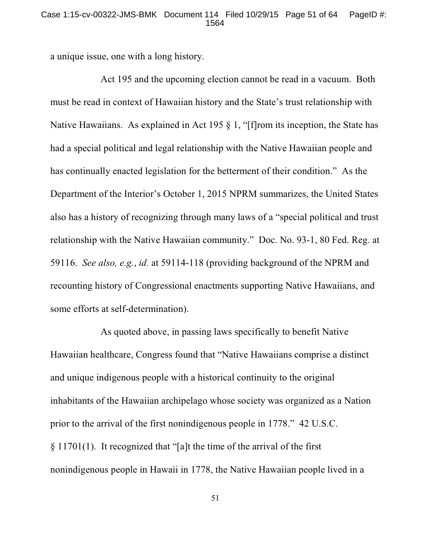### Case 1:15-cv-00322-JMS-BMK Document 114 Filed 10/29/15 Page 51 of 64 PageID #: 1564

a unique issue, one with a long history.

Act 195 and the upcoming election cannot be read in a vacuum. Both must be read in context of Hawaiian history and the State's trust relationship with Native Hawaiians. As explained in Act 195 § 1, "[f]rom its inception, the State has had a special political and legal relationship with the Native Hawaiian people and has continually enacted legislation for the betterment of their condition." As the Department of the Interior's October 1, 2015 NPRM summarizes, the United States also has a history of recognizing through many laws of a "special political and trust relationship with the Native Hawaiian community." Doc. No. 93-1, 80 Fed. Reg. at 59116. *See also, e.g.*, *id.* at 59114-118 (providing background of the NPRM and recounting history of Congressional enactments supporting Native Hawaiians, and some efforts at self-determination).

As quoted above, in passing laws specifically to benefit Native Hawaiian healthcare, Congress found that "Native Hawaiians comprise a distinct and unique indigenous people with a historical continuity to the original inhabitants of the Hawaiian archipelago whose society was organized as a Nation prior to the arrival of the first nonindigenous people in 1778." 42 U.S.C. § 11701(1). It recognized that "[a]t the time of the arrival of the first nonindigenous people in Hawaii in 1778, the Native Hawaiian people lived in a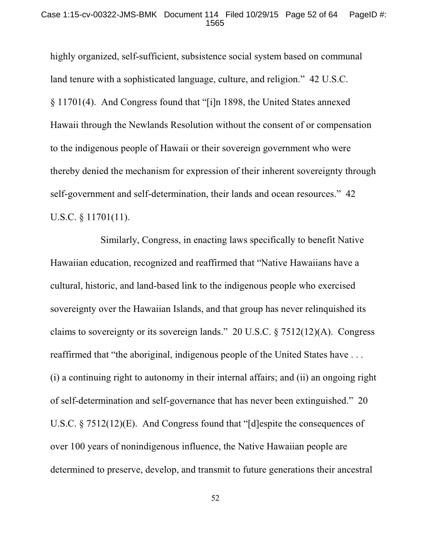highly organized, self-sufficient, subsistence social system based on communal land tenure with a sophisticated language, culture, and religion." 42 U.S.C. § 11701(4). And Congress found that "[i]n 1898, the United States annexed Hawaii through the Newlands Resolution without the consent of or compensation to the indigenous people of Hawaii or their sovereign government who were thereby denied the mechanism for expression of their inherent sovereignty through self-government and self-determination, their lands and ocean resources." 42 U.S.C. § 11701(11).

Similarly, Congress, in enacting laws specifically to benefit Native Hawaiian education, recognized and reaffirmed that "Native Hawaiians have a cultural, historic, and land-based link to the indigenous people who exercised sovereignty over the Hawaiian Islands, and that group has never relinquished its claims to sovereignty or its sovereign lands." 20 U.S.C. § 7512(12)(A). Congress reaffirmed that "the aboriginal, indigenous people of the United States have . . . (i) a continuing right to autonomy in their internal affairs; and (ii) an ongoing right of self-determination and self-governance that has never been extinguished." 20 U.S.C. § 7512(12)(E). And Congress found that "[d]espite the consequences of over 100 years of nonindigenous influence, the Native Hawaiian people are determined to preserve, develop, and transmit to future generations their ancestral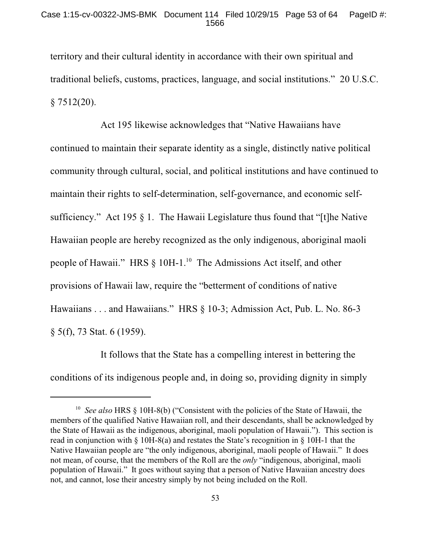territory and their cultural identity in accordance with their own spiritual and traditional beliefs, customs, practices, language, and social institutions." 20 U.S.C.  $§ 7512(20).$ 

Act 195 likewise acknowledges that "Native Hawaiians have continued to maintain their separate identity as a single, distinctly native political community through cultural, social, and political institutions and have continued to maintain their rights to self-determination, self-governance, and economic selfsufficiency." Act 195 § 1. The Hawaii Legislature thus found that "[t]he Native Hawaiian people are hereby recognized as the only indigenous, aboriginal maoli people of Hawaii." HRS § 10H-1.<sup>10</sup> The Admissions Act itself, and other provisions of Hawaii law, require the "betterment of conditions of native Hawaiians . . . and Hawaiians." HRS § 10-3; Admission Act, Pub. L. No. 86-3 § 5(f), 73 Stat. 6 (1959).

It follows that the State has a compelling interest in bettering the conditions of its indigenous people and, in doing so, providing dignity in simply

<sup>&</sup>lt;sup>10</sup> See also HRS § 10H-8(b) ("Consistent with the policies of the State of Hawaii, the members of the qualified Native Hawaiian roll, and their descendants, shall be acknowledged by the State of Hawaii as the indigenous, aboriginal, maoli population of Hawaii."). This section is read in conjunction with § 10H-8(a) and restates the State's recognition in § 10H-1 that the Native Hawaiian people are "the only indigenous, aboriginal, maoli people of Hawaii." It does not mean, of course, that the members of the Roll are the *only* "indigenous, aboriginal, maoli population of Hawaii." It goes without saying that a person of Native Hawaiian ancestry does not, and cannot, lose their ancestry simply by not being included on the Roll.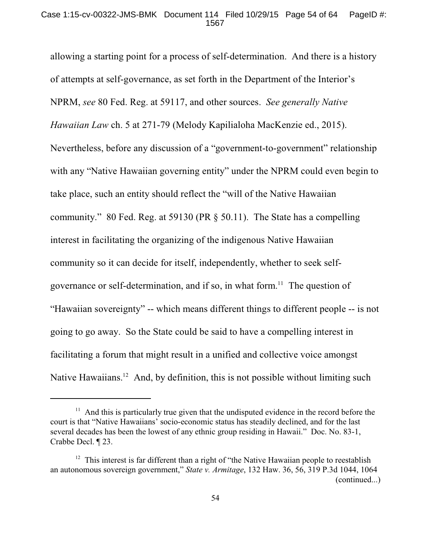allowing a starting point for a process of self-determination. And there is a history of attempts at self-governance, as set forth in the Department of the Interior's NPRM, *see* 80 Fed. Reg. at 59117, and other sources. *See generally Native Hawaiian Law* ch. 5 at 271-79 (Melody Kapilialoha MacKenzie ed., 2015). Nevertheless, before any discussion of a "government-to-government" relationship with any "Native Hawaiian governing entity" under the NPRM could even begin to take place, such an entity should reflect the "will of the Native Hawaiian community." 80 Fed. Reg. at 59130 (PR § 50.11). The State has a compelling interest in facilitating the organizing of the indigenous Native Hawaiian community so it can decide for itself, independently, whether to seek selfgovernance or self-determination, and if so, in what form.<sup>11</sup> The question of "Hawaiian sovereignty" -- which means different things to different people -- is not going to go away. So the State could be said to have a compelling interest in facilitating a forum that might result in a unified and collective voice amongst Native Hawaiians.<sup>12</sup> And, by definition, this is not possible without limiting such

 $11$  And this is particularly true given that the undisputed evidence in the record before the court is that "Native Hawaiians' socio-economic status has steadily declined, and for the last several decades has been the lowest of any ethnic group residing in Hawaii." Doc. No. 83-1, Crabbe Decl. ¶ 23.

 $12$  This interest is far different than a right of "the Native Hawaiian people to reestablish an autonomous sovereign government," *State v. Armitage*, 132 Haw. 36, 56, 319 P.3d 1044, 1064 (continued...)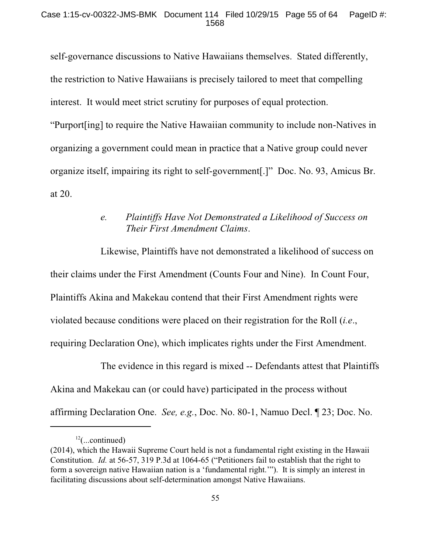self-governance discussions to Native Hawaiians themselves. Stated differently, the restriction to Native Hawaiians is precisely tailored to meet that compelling interest. It would meet strict scrutiny for purposes of equal protection. "Purport[ing] to require the Native Hawaiian community to include non-Natives in organizing a government could mean in practice that a Native group could never organize itself, impairing its right to self-government[.]" Doc. No. 93, Amicus Br. at 20.

# *e. Plaintiffs Have Not Demonstrated a Likelihood of Success on Their First Amendment Claims*.

Likewise, Plaintiffs have not demonstrated a likelihood of success on their claims under the First Amendment (Counts Four and Nine). In Count Four, Plaintiffs Akina and Makekau contend that their First Amendment rights were violated because conditions were placed on their registration for the Roll (*i.e*., requiring Declaration One), which implicates rights under the First Amendment.

The evidence in this regard is mixed -- Defendants attest that Plaintiffs Akina and Makekau can (or could have) participated in the process without affirming Declaration One. *See, e.g.*, Doc. No. 80-1, Namuo Decl. ¶ 23; Doc. No.

 $^{12}$ (...continued)

<sup>(2014),</sup> which the Hawaii Supreme Court held is not a fundamental right existing in the Hawaii Constitution. *Id.* at 56-57, 319 P.3d at 1064-65 ("Petitioners fail to establish that the right to form a sovereign native Hawaiian nation is a 'fundamental right.'"). It is simply an interest in facilitating discussions about self-determination amongst Native Hawaiians.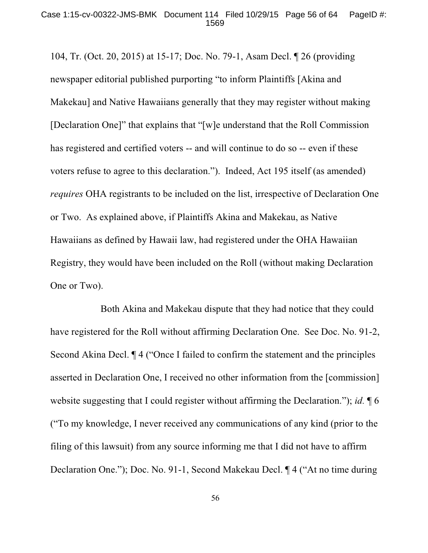104, Tr. (Oct. 20, 2015) at 15-17; Doc. No. 79-1, Asam Decl. ¶ 26 (providing newspaper editorial published purporting "to inform Plaintiffs [Akina and Makekau] and Native Hawaiians generally that they may register without making [Declaration One]" that explains that "[w]e understand that the Roll Commission has registered and certified voters -- and will continue to do so -- even if these voters refuse to agree to this declaration."). Indeed, Act 195 itself (as amended) *requires* OHA registrants to be included on the list, irrespective of Declaration One or Two. As explained above, if Plaintiffs Akina and Makekau, as Native Hawaiians as defined by Hawaii law, had registered under the OHA Hawaiian Registry, they would have been included on the Roll (without making Declaration One or Two).

Both Akina and Makekau dispute that they had notice that they could have registered for the Roll without affirming Declaration One. See Doc. No. 91-2, Second Akina Decl. ¶ 4 ("Once I failed to confirm the statement and the principles asserted in Declaration One, I received no other information from the [commission] website suggesting that I could register without affirming the Declaration."); *id.* ¶ 6 ("To my knowledge, I never received any communications of any kind (prior to the filing of this lawsuit) from any source informing me that I did not have to affirm Declaration One."); Doc. No. 91-1, Second Makekau Decl. ¶ 4 ("At no time during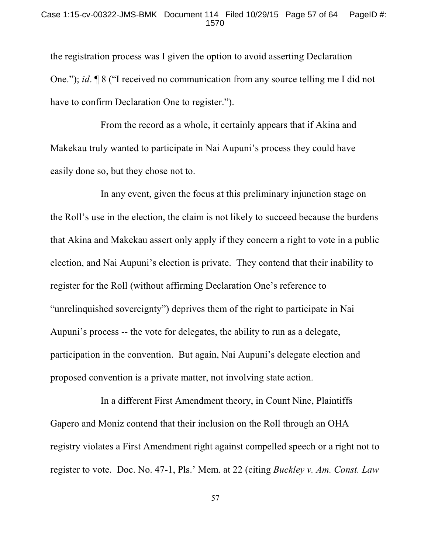the registration process was I given the option to avoid asserting Declaration One."); *id*. ¶ 8 ("I received no communication from any source telling me I did not have to confirm Declaration One to register.").

From the record as a whole, it certainly appears that if Akina and Makekau truly wanted to participate in Nai Aupuni's process they could have easily done so, but they chose not to.

In any event, given the focus at this preliminary injunction stage on the Roll's use in the election, the claim is not likely to succeed because the burdens that Akina and Makekau assert only apply if they concern a right to vote in a public election, and Nai Aupuni's election is private. They contend that their inability to register for the Roll (without affirming Declaration One's reference to "unrelinquished sovereignty") deprives them of the right to participate in Nai Aupuni's process -- the vote for delegates, the ability to run as a delegate, participation in the convention. But again, Nai Aupuni's delegate election and proposed convention is a private matter, not involving state action.

In a different First Amendment theory, in Count Nine, Plaintiffs Gapero and Moniz contend that their inclusion on the Roll through an OHA registry violates a First Amendment right against compelled speech or a right not to register to vote. Doc. No. 47-1, Pls.' Mem. at 22 (citing *Buckley v. Am. Const. Law*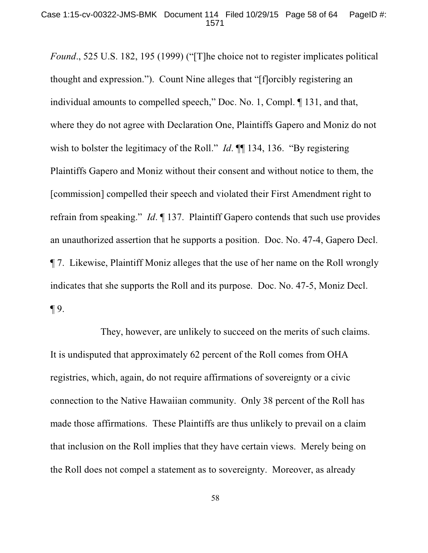*Found*., 525 U.S. 182, 195 (1999) ("[T]he choice not to register implicates political thought and expression."). Count Nine alleges that "[f]orcibly registering an individual amounts to compelled speech," Doc. No. 1, Compl. ¶ 131, and that, where they do not agree with Declaration One, Plaintiffs Gapero and Moniz do not wish to bolster the legitimacy of the Roll." *Id.* **[1**] 134, 136. "By registering Plaintiffs Gapero and Moniz without their consent and without notice to them, the [commission] compelled their speech and violated their First Amendment right to refrain from speaking." *Id*. ¶ 137. Plaintiff Gapero contends that such use provides an unauthorized assertion that he supports a position. Doc. No. 47-4, Gapero Decl. ¶ 7. Likewise, Plaintiff Moniz alleges that the use of her name on the Roll wrongly indicates that she supports the Roll and its purpose. Doc. No. 47-5, Moniz Decl. ¶ 9.

They, however, are unlikely to succeed on the merits of such claims. It is undisputed that approximately 62 percent of the Roll comes from OHA registries, which, again, do not require affirmations of sovereignty or a civic connection to the Native Hawaiian community. Only 38 percent of the Roll has made those affirmations. These Plaintiffs are thus unlikely to prevail on a claim that inclusion on the Roll implies that they have certain views. Merely being on the Roll does not compel a statement as to sovereignty. Moreover, as already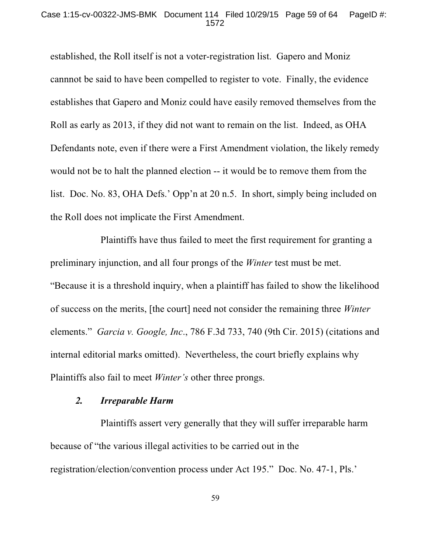### Case 1:15-cv-00322-JMS-BMK Document 114 Filed 10/29/15 Page 59 of 64 PageID #: 1572

established, the Roll itself is not a voter-registration list. Gapero and Moniz cannnot be said to have been compelled to register to vote. Finally, the evidence establishes that Gapero and Moniz could have easily removed themselves from the Roll as early as 2013, if they did not want to remain on the list. Indeed, as OHA Defendants note, even if there were a First Amendment violation, the likely remedy would not be to halt the planned election -- it would be to remove them from the list. Doc. No. 83, OHA Defs.' Opp'n at 20 n.5. In short, simply being included on the Roll does not implicate the First Amendment.

Plaintiffs have thus failed to meet the first requirement for granting a preliminary injunction, and all four prongs of the *Winter* test must be met. "Because it is a threshold inquiry, when a plaintiff has failed to show the likelihood of success on the merits, [the court] need not consider the remaining three *Winter* elements." *Garcia v. Google, Inc*., 786 F.3d 733, 740 (9th Cir. 2015) (citations and internal editorial marks omitted). Nevertheless, the court briefly explains why Plaintiffs also fail to meet *Winter's* other three prongs.

### *2. Irreparable Harm*

Plaintiffs assert very generally that they will suffer irreparable harm because of "the various illegal activities to be carried out in the registration/election/convention process under Act 195." Doc. No. 47-1, Pls.'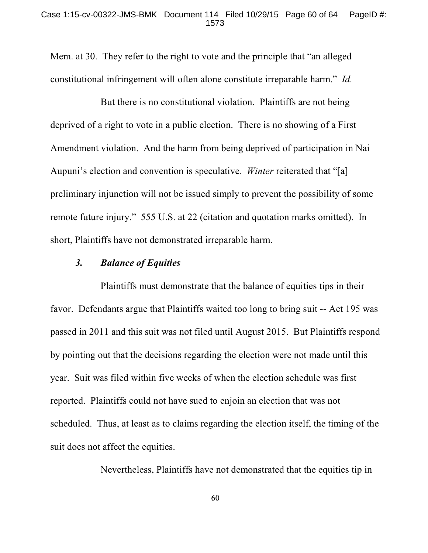Mem. at 30. They refer to the right to vote and the principle that "an alleged constitutional infringement will often alone constitute irreparable harm." *Id.*

But there is no constitutional violation. Plaintiffs are not being deprived of a right to vote in a public election. There is no showing of a First Amendment violation. And the harm from being deprived of participation in Nai Aupuni's election and convention is speculative. *Winter* reiterated that "[a] preliminary injunction will not be issued simply to prevent the possibility of some remote future injury." 555 U.S. at 22 (citation and quotation marks omitted). In short, Plaintiffs have not demonstrated irreparable harm.

## *3. Balance of Equities*

Plaintiffs must demonstrate that the balance of equities tips in their favor. Defendants argue that Plaintiffs waited too long to bring suit -- Act 195 was passed in 2011 and this suit was not filed until August 2015. But Plaintiffs respond by pointing out that the decisions regarding the election were not made until this year. Suit was filed within five weeks of when the election schedule was first reported. Plaintiffs could not have sued to enjoin an election that was not scheduled. Thus, at least as to claims regarding the election itself, the timing of the suit does not affect the equities.

Nevertheless, Plaintiffs have not demonstrated that the equities tip in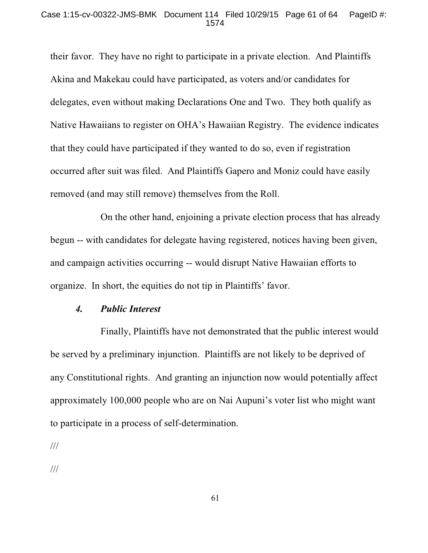### Case 1:15-cv-00322-JMS-BMK Document 114 Filed 10/29/15 Page 61 of 64 PageID #: 1574

their favor. They have no right to participate in a private election. And Plaintiffs Akina and Makekau could have participated, as voters and/or candidates for delegates, even without making Declarations One and Two. They both qualify as Native Hawaiians to register on OHA's Hawaiian Registry. The evidence indicates that they could have participated if they wanted to do so, even if registration occurred after suit was filed. And Plaintiffs Gapero and Moniz could have easily removed (and may still remove) themselves from the Roll.

On the other hand, enjoining a private election process that has already begun -- with candidates for delegate having registered, notices having been given, and campaign activities occurring -- would disrupt Native Hawaiian efforts to organize. In short, the equities do not tip in Plaintiffs' favor.

### *4. Public Interest*

Finally, Plaintiffs have not demonstrated that the public interest would be served by a preliminary injunction. Plaintiffs are not likely to be deprived of any Constitutional rights. And granting an injunction now would potentially affect approximately 100,000 people who are on Nai Aupuni's voter list who might want to participate in a process of self-determination.

///

///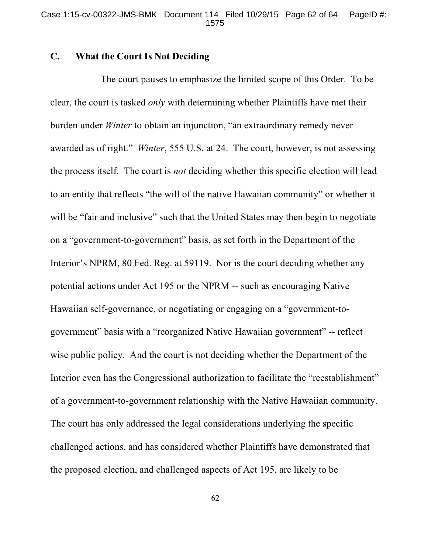## **C. What the Court Is Not Deciding**

The court pauses to emphasize the limited scope of this Order. To be clear, the court is tasked *only* with determining whether Plaintiffs have met their burden under *Winter* to obtain an injunction, "an extraordinary remedy never awarded as of right." *Winter*, 555 U.S. at 24.The court, however, is not assessing the process itself. The court is *not* deciding whether this specific election will lead to an entity that reflects "the will of the native Hawaiian community" or whether it will be "fair and inclusive" such that the United States may then begin to negotiate on a "government-to-government" basis, as set forth in the Department of the Interior's NPRM, 80 Fed. Reg. at 59119. Nor is the court deciding whether any potential actions under Act 195 or the NPRM -- such as encouraging Native Hawaiian self-governance, or negotiating or engaging on a "government-togovernment" basis with a "reorganized Native Hawaiian government" -- reflect wise public policy. And the court is not deciding whether the Department of the Interior even has the Congressional authorization to facilitate the "reestablishment" of a government-to-government relationship with the Native Hawaiian community. The court has only addressed the legal considerations underlying the specific challenged actions, and has considered whether Plaintiffs have demonstrated that the proposed election, and challenged aspects of Act 195, are likely to be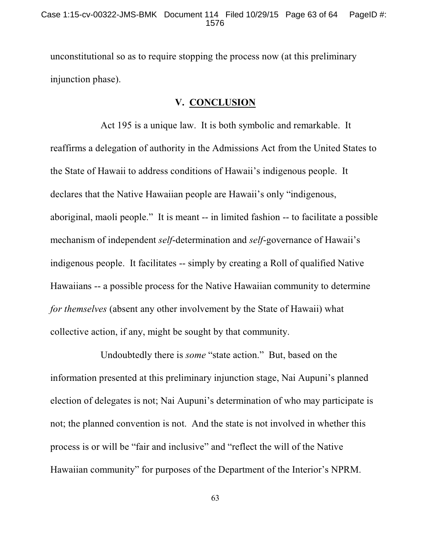unconstitutional so as to require stopping the process now (at this preliminary injunction phase).

## **V. CONCLUSION**

Act 195 is a unique law. It is both symbolic and remarkable. It reaffirms a delegation of authority in the Admissions Act from the United States to the State of Hawaii to address conditions of Hawaii's indigenous people. It declares that the Native Hawaiian people are Hawaii's only "indigenous, aboriginal, maoli people." It is meant -- in limited fashion -- to facilitate a possible mechanism of independent *self*-determination and *self*-governance of Hawaii's indigenous people. It facilitates -- simply by creating a Roll of qualified Native Hawaiians -- a possible process for the Native Hawaiian community to determine *for themselves* (absent any other involvement by the State of Hawaii) what collective action, if any, might be sought by that community.

Undoubtedly there is *some* "state action." But, based on the information presented at this preliminary injunction stage, Nai Aupuni's planned election of delegates is not; Nai Aupuni's determination of who may participate is not; the planned convention is not. And the state is not involved in whether this process is or will be "fair and inclusive" and "reflect the will of the Native Hawaiian community" for purposes of the Department of the Interior's NPRM.